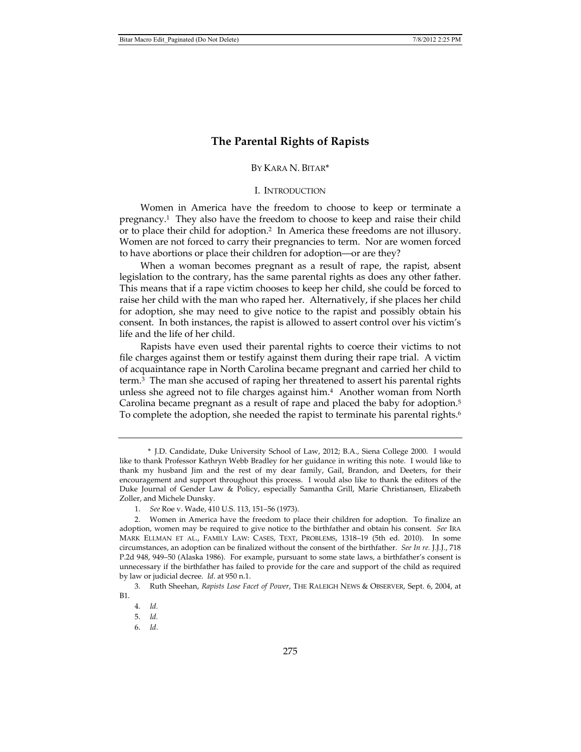# **The Parental Rights of Rapists**

# BY KARA N. BITAR\*

## I. INTRODUCTION

Women in America have the freedom to choose to keep or terminate a pregnancy.1 They also have the freedom to choose to keep and raise their child or to place their child for adoption.2 In America these freedoms are not illusory. Women are not forced to carry their pregnancies to term. Nor are women forced to have abortions or place their children for adoption—or are they?

When a woman becomes pregnant as a result of rape, the rapist, absent legislation to the contrary, has the same parental rights as does any other father. This means that if a rape victim chooses to keep her child, she could be forced to raise her child with the man who raped her. Alternatively, if she places her child for adoption, she may need to give notice to the rapist and possibly obtain his consent. In both instances, the rapist is allowed to assert control over his victim's life and the life of her child.

Rapists have even used their parental rights to coerce their victims to not file charges against them or testify against them during their rape trial. A victim of acquaintance rape in North Carolina became pregnant and carried her child to term.3 The man she accused of raping her threatened to assert his parental rights unless she agreed not to file charges against him.4 Another woman from North Carolina became pregnant as a result of rape and placed the baby for adoption.<sup>5</sup> To complete the adoption, she needed the rapist to terminate his parental rights.<sup>6</sup>

 <sup>\*</sup> J.D. Candidate, Duke University School of Law, 2012; B.A., Siena College 2000. I would like to thank Professor Kathryn Webb Bradley for her guidance in writing this note. I would like to thank my husband Jim and the rest of my dear family, Gail, Brandon, and Deeters, for their encouragement and support throughout this process. I would also like to thank the editors of the Duke Journal of Gender Law & Policy, especially Samantha Grill, Marie Christiansen, Elizabeth Zoller, and Michele Dunsky.

 <sup>1.</sup> *See* Roe v. Wade, 410 U.S. 113, 151–56 (1973).

 <sup>2.</sup> Women in America have the freedom to place their children for adoption. To finalize an adoption, women may be required to give notice to the birthfather and obtain his consent. *See* IRA MARK ELLMAN ET AL., FAMILY LAW: CASES, TEXT, PROBLEMS, 1318–19 (5th ed. 2010). In some circumstances, an adoption can be finalized without the consent of the birthfather. *See In re.* J.J.J., 718 P.2d 948, 949–50 (Alaska 1986). For example, pursuant to some state laws, a birthfather's consent is unnecessary if the birthfather has failed to provide for the care and support of the child as required by law or judicial decree. *Id*. at 950 n.1.

 <sup>3.</sup> Ruth Sheehan, *Rapists Lose Facet of Power*, THE RALEIGH NEWS & OBSERVER, Sept. 6, 2004, at B1.

 <sup>4.</sup> *Id.*

 <sup>5.</sup> *Id.*

 <sup>6.</sup> *Id*.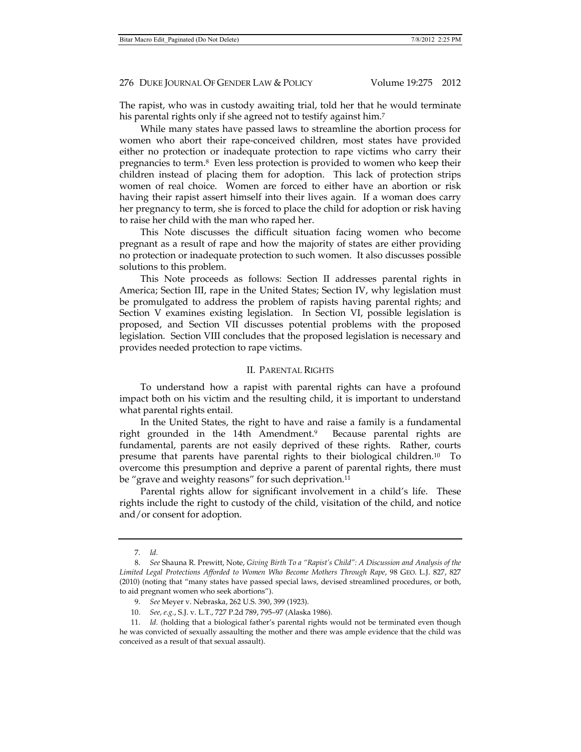The rapist, who was in custody awaiting trial, told her that he would terminate his parental rights only if she agreed not to testify against him.<sup>7</sup>

While many states have passed laws to streamline the abortion process for women who abort their rape-conceived children, most states have provided either no protection or inadequate protection to rape victims who carry their pregnancies to term.8 Even less protection is provided to women who keep their children instead of placing them for adoption. This lack of protection strips women of real choice. Women are forced to either have an abortion or risk having their rapist assert himself into their lives again. If a woman does carry her pregnancy to term, she is forced to place the child for adoption or risk having to raise her child with the man who raped her.

This Note discusses the difficult situation facing women who become pregnant as a result of rape and how the majority of states are either providing no protection or inadequate protection to such women. It also discusses possible solutions to this problem.

This Note proceeds as follows: Section II addresses parental rights in America; Section III, rape in the United States; Section IV, why legislation must be promulgated to address the problem of rapists having parental rights; and Section V examines existing legislation. In Section VI, possible legislation is proposed, and Section VII discusses potential problems with the proposed legislation. Section VIII concludes that the proposed legislation is necessary and provides needed protection to rape victims.

# II. PARENTAL RIGHTS

To understand how a rapist with parental rights can have a profound impact both on his victim and the resulting child, it is important to understand what parental rights entail.

In the United States, the right to have and raise a family is a fundamental right grounded in the 14th Amendment.9 Because parental rights are fundamental, parents are not easily deprived of these rights. Rather, courts presume that parents have parental rights to their biological children.10 To overcome this presumption and deprive a parent of parental rights, there must be "grave and weighty reasons" for such deprivation.<sup>11</sup>

Parental rights allow for significant involvement in a child's life. These rights include the right to custody of the child, visitation of the child, and notice and/or consent for adoption.

 <sup>7.</sup> *Id.*

 <sup>8.</sup> *See* Shauna R. Prewitt, Note, *Giving Birth To a "Rapist's Child": A Discussion and Analysis of the Limited Legal Protections Afforded to Women Who Become Mothers Through Rape*, 98 GEO. L.J. 827, 827 (2010) (noting that "many states have passed special laws, devised streamlined procedures, or both, to aid pregnant women who seek abortions").

 <sup>9.</sup> *See* Meyer v. Nebraska, 262 U.S. 390, 399 (1923).

 <sup>10.</sup> *See, e.g.*, S.J. v. L.T., 727 P.2d 789, 795–97 (Alaska 1986).

 <sup>11.</sup> *Id.* (holding that a biological father's parental rights would not be terminated even though he was convicted of sexually assaulting the mother and there was ample evidence that the child was conceived as a result of that sexual assault).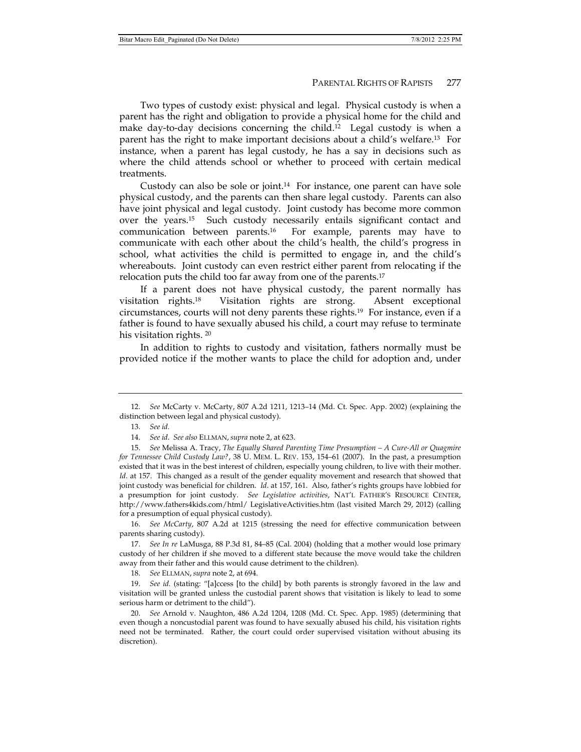Two types of custody exist: physical and legal. Physical custody is when a parent has the right and obligation to provide a physical home for the child and make day-to-day decisions concerning the child.12 Legal custody is when a parent has the right to make important decisions about a child's welfare.13 For instance, when a parent has legal custody, he has a say in decisions such as where the child attends school or whether to proceed with certain medical treatments.

Custody can also be sole or joint.<sup>14</sup> For instance, one parent can have sole physical custody, and the parents can then share legal custody. Parents can also have joint physical and legal custody. Joint custody has become more common over the years.15 Such custody necessarily entails significant contact and communication between parents.16 For example, parents may have to communicate with each other about the child's health, the child's progress in school, what activities the child is permitted to engage in, and the child's whereabouts. Joint custody can even restrict either parent from relocating if the relocation puts the child too far away from one of the parents.17

If a parent does not have physical custody, the parent normally has visitation rights.18 Visitation rights are strong. Absent exceptional circumstances, courts will not deny parents these rights.19 For instance, even if a father is found to have sexually abused his child, a court may refuse to terminate his visitation rights. 20

In addition to rights to custody and visitation, fathers normally must be provided notice if the mother wants to place the child for adoption and, under

 16. *See McCarty*, 807 A.2d at 1215 (stressing the need for effective communication between parents sharing custody).

 17. *See In re* LaMusga, 88 P.3d 81, 84–85 (Cal. 2004) (holding that a mother would lose primary custody of her children if she moved to a different state because the move would take the children away from their father and this would cause detriment to the children).

18. *See* ELLMAN, *supra* note 2, at 694.

 19. *See id.* (stating: "[a]ccess [to the child] by both parents is strongly favored in the law and visitation will be granted unless the custodial parent shows that visitation is likely to lead to some serious harm or detriment to the child").

 20. *See* Arnold v. Naughton, 486 A.2d 1204, 1208 (Md. Ct. Spec. App. 1985) (determining that even though a noncustodial parent was found to have sexually abused his child, his visitation rights need not be terminated. Rather, the court could order supervised visitation without abusing its discretion).

 <sup>12.</sup> *See* McCarty v. McCarty, 807 A.2d 1211, 1213–14 (Md. Ct. Spec. App. 2002) (explaining the distinction between legal and physical custody).

 <sup>13.</sup> *See id.*

 <sup>14.</sup> *See id*. *See also* ELLMAN, *supra* note 2, at 623.

 <sup>15.</sup> *See* Melissa A. Tracy, *The Equally Shared Parenting Time Presumption – A Cure-All or Quagmire for Tennessee Child Custody Law?*, 38 U. MEM. L. REV. 153, 154–61 (2007). In the past, a presumption existed that it was in the best interest of children, especially young children, to live with their mother. Id. at 157. This changed as a result of the gender equality movement and research that showed that joint custody was beneficial for children. *Id*. at 157, 161. Also, father's rights groups have lobbied for a presumption for joint custody. *See Legislative activities*, NAT'L FATHER'S RESOURCE CENTER, http://www.fathers4kids.com/html/ LegislativeActivities.htm (last visited March 29, 2012) (calling for a presumption of equal physical custody).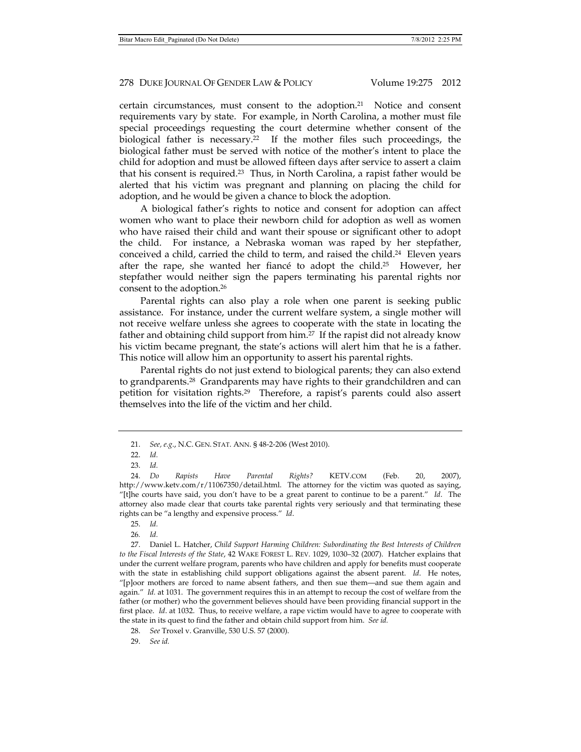certain circumstances, must consent to the adoption.21 Notice and consent requirements vary by state. For example, in North Carolina, a mother must file special proceedings requesting the court determine whether consent of the biological father is necessary.22 If the mother files such proceedings, the biological father must be served with notice of the mother's intent to place the child for adoption and must be allowed fifteen days after service to assert a claim that his consent is required.23 Thus, in North Carolina, a rapist father would be alerted that his victim was pregnant and planning on placing the child for adoption, and he would be given a chance to block the adoption.

A biological father's rights to notice and consent for adoption can affect women who want to place their newborn child for adoption as well as women who have raised their child and want their spouse or significant other to adopt the child. For instance, a Nebraska woman was raped by her stepfather, conceived a child, carried the child to term, and raised the child.<sup>24</sup> Eleven years after the rape, she wanted her fiancé to adopt the child.25 However, her stepfather would neither sign the papers terminating his parental rights nor consent to the adoption.26

Parental rights can also play a role when one parent is seeking public assistance. For instance, under the current welfare system, a single mother will not receive welfare unless she agrees to cooperate with the state in locating the father and obtaining child support from him.27 If the rapist did not already know his victim became pregnant, the state's actions will alert him that he is a father. This notice will allow him an opportunity to assert his parental rights.

Parental rights do not just extend to biological parents; they can also extend to grandparents.28 Grandparents may have rights to their grandchildren and can petition for visitation rights.29 Therefore, a rapist's parents could also assert themselves into the life of the victim and her child.

 <sup>21.</sup> *See, e.g*., N.C. GEN. STAT. ANN. § 48-2-206 (West 2010).

 <sup>22.</sup> *Id.*

 <sup>23.</sup> *Id.*

 <sup>24.</sup> *Do Rapists Have Parental Rights?* KETV.COM (Feb. 20, 2007), http://www.ketv.com/r/11067350/detail.html. The attorney for the victim was quoted as saying, "[t]he courts have said, you don't have to be a great parent to continue to be a parent." *Id*. The attorney also made clear that courts take parental rights very seriously and that terminating these rights can be "a lengthy and expensive process." *Id*.

 <sup>25.</sup> *Id.* 

<sup>26</sup>*. Id.*

 <sup>27.</sup> Daniel L. Hatcher, *Child Support Harming Children: Subordinating the Best Interests of Children to the Fiscal Interests of the State*, 42 WAKE FOREST L. REV. 1029, 1030–32 (2007). Hatcher explains that under the current welfare program, parents who have children and apply for benefits must cooperate with the state in establishing child support obligations against the absent parent. *Id*. He notes, "[p]oor mothers are forced to name absent fathers, and then sue them—and sue them again and again." *Id.* at 1031. The government requires this in an attempt to recoup the cost of welfare from the father (or mother) who the government believes should have been providing financial support in the first place. *Id*. at 1032. Thus, to receive welfare, a rape victim would have to agree to cooperate with the state in its quest to find the father and obtain child support from him. *See id.* 

 <sup>28.</sup> *See* Troxel v. Granville, 530 U.S. 57 (2000).

 <sup>29.</sup> *See id.*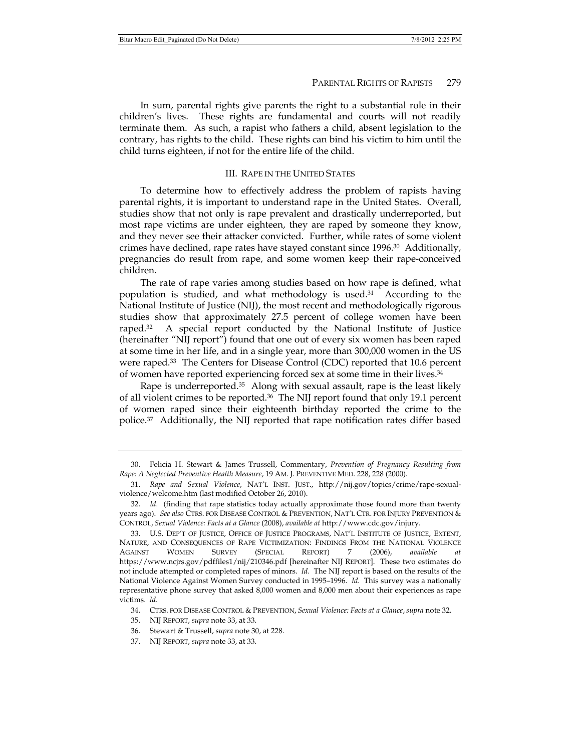In sum, parental rights give parents the right to a substantial role in their children's lives. These rights are fundamental and courts will not readily terminate them. As such, a rapist who fathers a child, absent legislation to the contrary, has rights to the child. These rights can bind his victim to him until the child turns eighteen, if not for the entire life of the child.

# III. RAPE IN THE UNITED STATES

To determine how to effectively address the problem of rapists having parental rights, it is important to understand rape in the United States. Overall, studies show that not only is rape prevalent and drastically underreported, but most rape victims are under eighteen, they are raped by someone they know, and they never see their attacker convicted. Further, while rates of some violent crimes have declined, rape rates have stayed constant since 1996.30 Additionally, pregnancies do result from rape, and some women keep their rape-conceived children.

The rate of rape varies among studies based on how rape is defined, what population is studied, and what methodology is used. $31$  According to the National Institute of Justice (NIJ), the most recent and methodologically rigorous studies show that approximately 27.5 percent of college women have been raped.<sup>32</sup> A special report conducted by the National Institute of Justice (hereinafter "NIJ report") found that one out of every six women has been raped at some time in her life, and in a single year, more than 300,000 women in the US were raped.<sup>33</sup> The Centers for Disease Control (CDC) reported that 10.6 percent of women have reported experiencing forced sex at some time in their lives.34

Rape is underreported.<sup>35</sup> Along with sexual assault, rape is the least likely of all violent crimes to be reported. $36$  The NIJ report found that only 19.1 percent of women raped since their eighteenth birthday reported the crime to the police.37 Additionally, the NIJ reported that rape notification rates differ based

 <sup>30.</sup> Felicia H. Stewart & James Trussell, Commentary, *Prevention of Pregnancy Resulting from Rape: A Neglected Preventive Health Measure*, 19 AM. J. PREVENTIVE MED. 228, 228 (2000).

 <sup>31.</sup> *Rape and Sexual Violence*, NAT'L INST. JUST., http://nij.gov/topics/crime/rape-sexualviolence/welcome.htm (last modified October 26, 2010).

 <sup>32.</sup> *Id.* (finding that rape statistics today actually approximate those found more than twenty years ago). *See also* CTRS. FOR DISEASE CONTROL & PREVENTION, NAT'L CTR. FOR INJURY PREVENTION & CONTROL, *Sexual Violence: Facts at a Glance* (2008), *available at* http://www.cdc.gov/injury.

 <sup>33.</sup> U.S. DEP'T OF JUSTICE, OFFICE OF JUSTICE PROGRAMS, NAT'L INSTITUTE OF JUSTICE, EXTENT, NATURE, AND CONSEQUENCES OF RAPE VICTIMIZATION: FINDINGS FROM THE NATIONAL VIOLENCE AGAINST WOMEN SURVEY (SPECIAL REPORT) 7 (2006), *available at* https://www.ncjrs.gov/pdffiles1/nij/210346.pdf [hereinafter NIJ REPORT]. These two estimates do not include attempted or completed rapes of minors. *Id.* The NIJ report is based on the results of the National Violence Against Women Survey conducted in 1995–1996. *Id.* This survey was a nationally representative phone survey that asked 8,000 women and 8,000 men about their experiences as rape victims. *Id.*

 <sup>34.</sup> CTRS. FOR DISEASE CONTROL & PREVENTION, *Sexual Violence: Facts at a Glance*, *supra* note 32.

 <sup>35.</sup> NIJ REPORT, *supra* note 33, at 33.

 <sup>36.</sup> Stewart & Trussell, *supra* note 30, at 228.

 <sup>37.</sup> NIJ REPORT, *supra* note 33, at 33.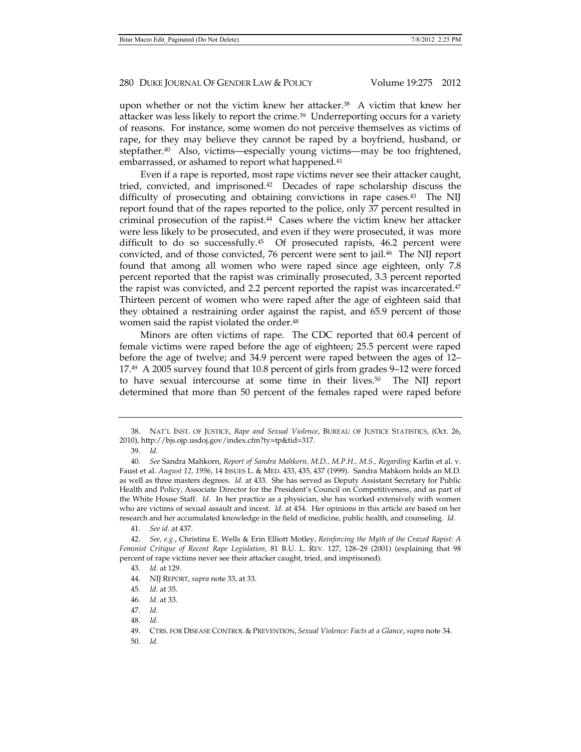upon whether or not the victim knew her attacker.38 A victim that knew her attacker was less likely to report the crime.<sup>39</sup> Underreporting occurs for a variety of reasons. For instance, some women do not perceive themselves as victims of rape, for they may believe they cannot be raped by a boyfriend, husband, or stepfather.40 Also, victims—especially young victims—may be too frightened, embarrassed, or ashamed to report what happened.<sup>41</sup>

Even if a rape is reported, most rape victims never see their attacker caught, tried, convicted, and imprisoned.42 Decades of rape scholarship discuss the difficulty of prosecuting and obtaining convictions in rape cases.<sup>43</sup> The NIJ report found that of the rapes reported to the police, only 37 percent resulted in criminal prosecution of the rapist. $44$  Cases where the victim knew her attacker were less likely to be prosecuted, and even if they were prosecuted, it was more difficult to do so successfully.45 Of prosecuted rapists, 46.2 percent were convicted, and of those convicted, 76 percent were sent to jail.46 The NIJ report found that among all women who were raped since age eighteen, only 7.8 percent reported that the rapist was criminally prosecuted, 3.3 percent reported the rapist was convicted, and 2.2 percent reported the rapist was incarcerated.<sup>47</sup> Thirteen percent of women who were raped after the age of eighteen said that they obtained a restraining order against the rapist, and 65.9 percent of those women said the rapist violated the order.<sup>48</sup>

Minors are often victims of rape. The CDC reported that 60.4 percent of female victims were raped before the age of eighteen; 25.5 percent were raped before the age of twelve; and 34.9 percent were raped between the ages of 12– 17.49 A 2005 survey found that 10.8 percent of girls from grades 9–12 were forced to have sexual intercourse at some time in their lives.50 The NIJ report determined that more than 50 percent of the females raped were raped before

39. *Id.*

50. *Id.*

 <sup>38.</sup> NAT'L INST. OF JUSTICE, *Rape and Sexual Violence*, BUREAU OF JUSTICE STATISTICS, (Oct. 26, 2010), http://bjs.ojp.usdoj.gov/index.cfm?ty=tp&tid=317.

 <sup>40.</sup> *See* Sandra Mahkorn, *Report of Sandra Mahkorn, M.D., M.P.H., M.S., Regarding* Karlin et al. v. Faust et al. *August 12, 1996*, 14 ISSUES L. & MED. 433, 435, 437 (1999). Sandra Mahkorn holds an M.D. as well as three masters degrees. *Id.* at 433. She has served as Deputy Assistant Secretary for Public Health and Policy, Associate Director for the President's Council on Competitiveness, and as part of the White House Staff. *Id*. In her practice as a physician, she has worked extensively with women who are victims of sexual assault and incest. *Id*. at 434. Her opinions in this article are based on her research and her accumulated knowledge in the field of medicine, public health, and counseling. *Id.*

 <sup>41.</sup> *See id.* at 437.

 <sup>42.</sup> *See, e.g*., Christina E. Wells & Erin Elliott Motley, *Reinforcing the Myth of the Crazed Rapist: A Feminist Critique of Recent Rape Legislation*, 81 B.U. L. REV. 127, 128–29 (2001) (explaining that 98 percent of rape victims never see their attacker caught, tried, and imprisoned).

 <sup>43.</sup> *Id.* at 129.

 <sup>44.</sup> NIJ REPORT, *supra* note 33, at 33.

 <sup>45.</sup> *Id.* at 35.

 <sup>46.</sup> *Id.* at 33.

 <sup>47.</sup> *Id.*

 <sup>48.</sup> *Id.*

 <sup>49.</sup> CTRS. FOR DISEASE CONTROL & PREVENTION, *Sexual Violence: Facts at a Glance*, *supra* note 34.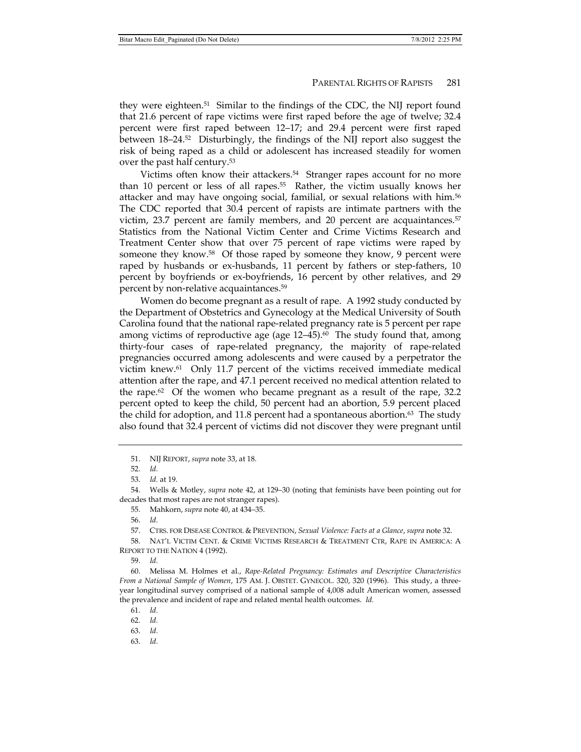they were eighteen.51 Similar to the findings of the CDC, the NIJ report found that 21.6 percent of rape victims were first raped before the age of twelve; 32.4 percent were first raped between 12–17; and 29.4 percent were first raped between 18–24.52 Disturbingly, the findings of the NIJ report also suggest the risk of being raped as a child or adolescent has increased steadily for women over the past half century.53

Victims often know their attackers.<sup>54</sup> Stranger rapes account for no more than 10 percent or less of all rapes.55 Rather, the victim usually knows her attacker and may have ongoing social, familial, or sexual relations with him.56 The CDC reported that 30.4 percent of rapists are intimate partners with the victim, 23.7 percent are family members, and 20 percent are acquaintances.<sup>57</sup> Statistics from the National Victim Center and Crime Victims Research and Treatment Center show that over 75 percent of rape victims were raped by someone they know.58 Of those raped by someone they know, 9 percent were raped by husbands or ex-husbands, 11 percent by fathers or step-fathers, 10 percent by boyfriends or ex-boyfriends, 16 percent by other relatives, and 29 percent by non-relative acquaintances.59

Women do become pregnant as a result of rape. A 1992 study conducted by the Department of Obstetrics and Gynecology at the Medical University of South Carolina found that the national rape-related pregnancy rate is 5 percent per rape among victims of reproductive age (age  $12-45$ ).<sup>60</sup> The study found that, among thirty-four cases of rape-related pregnancy, the majority of rape-related pregnancies occurred among adolescents and were caused by a perpetrator the victim knew.61 Only 11.7 percent of the victims received immediate medical attention after the rape, and 47.1 percent received no medical attention related to the rape.<sup>62</sup> Of the women who became pregnant as a result of the rape, 32.2 percent opted to keep the child, 50 percent had an abortion, 5.9 percent placed the child for adoption, and 11.8 percent had a spontaneous abortion.<sup>63</sup> The study also found that 32.4 percent of victims did not discover they were pregnant until

55. Mahkorn, *supra* note 40, at 434–35.

57. CTRS. FOR DISEASE CONTROL & PREVENTION, *Sexual Violence: Facts at a Glance*, *supra* note 32.

 58. NAT'L VICTIM CENT. & CRIME VICTIMS RESEARCH & TREATMENT CTR, RAPE IN AMERICA: A REPORT TO THE NATION 4 (1992).

59. *Id.*

 60. Melissa M. Holmes et al., *Rape-Related Pregnancy: Estimates and Descriptive Characteristics From a National Sample of Women*, 175 AM. J. OBSTET. GYNECOL. 320, 320 (1996). This study, a threeyear longitudinal survey comprised of a national sample of 4,008 adult American women, assessed the prevalence and incident of rape and related mental health outcomes. *Id.*

61. *Id.*

63. *Id.*

 <sup>51.</sup> NIJ REPORT, *supra* note 33, at 18.

 <sup>52.</sup> *Id.*

 <sup>53.</sup> *Id.* at 19.

 <sup>54.</sup> Wells & Motley, *supra* note 42, at 129–30 (noting that feminists have been pointing out for decades that most rapes are not stranger rapes).

 <sup>56.</sup> *Id.*

 <sup>62.</sup> *Id.*

 <sup>63.</sup> *Id.*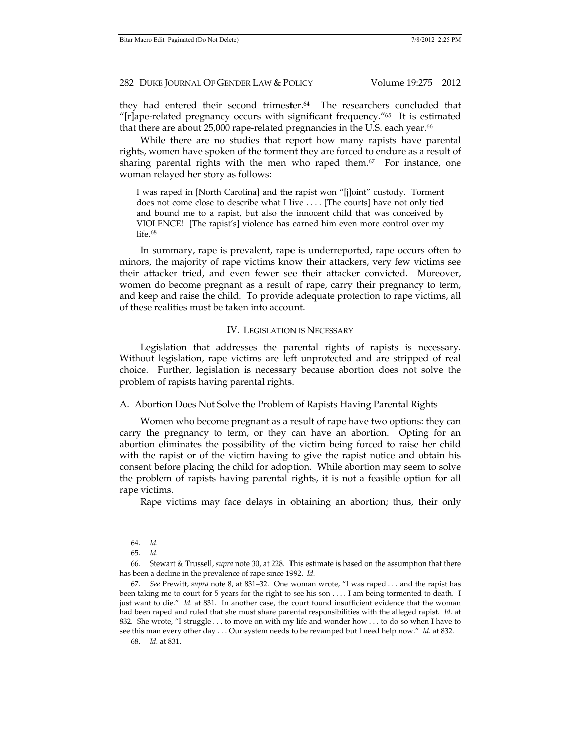they had entered their second trimester.64 The researchers concluded that "[r]ape-related pregnancy occurs with significant frequency." $65$  It is estimated that there are about 25,000 rape-related pregnancies in the U.S. each year.<sup>66</sup>

While there are no studies that report how many rapists have parental rights, women have spoken of the torment they are forced to endure as a result of sharing parental rights with the men who raped them. $67$  For instance, one woman relayed her story as follows:

I was raped in [North Carolina] and the rapist won "[j]oint" custody. Torment does not come close to describe what I live . . . . [The courts] have not only tied and bound me to a rapist, but also the innocent child that was conceived by VIOLENCE! [The rapist's] violence has earned him even more control over my life.68

In summary, rape is prevalent, rape is underreported, rape occurs often to minors, the majority of rape victims know their attackers, very few victims see their attacker tried, and even fewer see their attacker convicted. Moreover, women do become pregnant as a result of rape, carry their pregnancy to term, and keep and raise the child. To provide adequate protection to rape victims, all of these realities must be taken into account.

# IV. LEGISLATION IS NECESSARY

Legislation that addresses the parental rights of rapists is necessary. Without legislation, rape victims are left unprotected and are stripped of real choice. Further, legislation is necessary because abortion does not solve the problem of rapists having parental rights.

A. Abortion Does Not Solve the Problem of Rapists Having Parental Rights

Women who become pregnant as a result of rape have two options: they can carry the pregnancy to term, or they can have an abortion. Opting for an abortion eliminates the possibility of the victim being forced to raise her child with the rapist or of the victim having to give the rapist notice and obtain his consent before placing the child for adoption. While abortion may seem to solve the problem of rapists having parental rights, it is not a feasible option for all rape victims.

Rape victims may face delays in obtaining an abortion; thus, their only

 <sup>64.</sup> *Id.*

 <sup>65.</sup> *Id.*

 <sup>66.</sup> Stewart & Trussell, *supra* note 30, at 228. This estimate is based on the assumption that there has been a decline in the prevalence of rape since 1992. *Id.*

 <sup>67.</sup> *See* Prewitt, *supra* note 8, at 831–32. One woman wrote, "I was raped . . . and the rapist has been taking me to court for 5 years for the right to see his son . . . . I am being tormented to death. I just want to die." *Id.* at 831. In another case, the court found insufficient evidence that the woman had been raped and ruled that she must share parental responsibilities with the alleged rapist. *Id.* at 832. She wrote, "I struggle . . . to move on with my life and wonder how . . . to do so when I have to see this man every other day . . . Our system needs to be revamped but I need help now." *Id.* at 832.

 <sup>68.</sup> *Id.* at 831.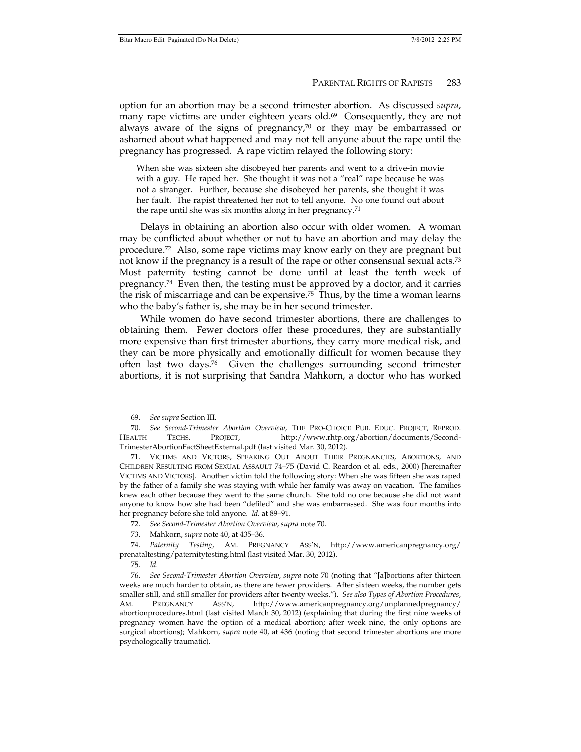option for an abortion may be a second trimester abortion. As discussed *supra*, many rape victims are under eighteen years old.<sup>69</sup> Consequently, they are not always aware of the signs of pregnancy, $70$  or they may be embarrassed or ashamed about what happened and may not tell anyone about the rape until the pregnancy has progressed. A rape victim relayed the following story:

When she was sixteen she disobeyed her parents and went to a drive-in movie with a guy. He raped her. She thought it was not a "real" rape because he was not a stranger. Further, because she disobeyed her parents, she thought it was her fault. The rapist threatened her not to tell anyone. No one found out about the rape until she was six months along in her pregnancy.71

Delays in obtaining an abortion also occur with older women. A woman may be conflicted about whether or not to have an abortion and may delay the procedure.72 Also, some rape victims may know early on they are pregnant but not know if the pregnancy is a result of the rape or other consensual sexual acts.<sup>73</sup> Most paternity testing cannot be done until at least the tenth week of pregnancy.74 Even then, the testing must be approved by a doctor, and it carries the risk of miscarriage and can be expensive.<sup>75</sup> Thus, by the time a woman learns who the baby's father is, she may be in her second trimester.

While women do have second trimester abortions, there are challenges to obtaining them. Fewer doctors offer these procedures, they are substantially more expensive than first trimester abortions, they carry more medical risk, and they can be more physically and emotionally difficult for women because they often last two days.76 Given the challenges surrounding second trimester abortions, it is not surprising that Sandra Mahkorn, a doctor who has worked

- 72. *See Second-Trimester Abortion Overview*, *supra* note 70.
- 73. Mahkorn, *supra* note 40, at 435–36.

75. *Id.*

 <sup>69.</sup> *See supra* Section III.

 <sup>70.</sup> *See Second-Trimester Abortion Overview*, THE PRO-CHOICE PUB. EDUC. PROJECT, REPROD. HEALTH TECHS. PROJECT, http://www.rhtp.org/abortion/documents/Second-TrimesterAbortionFactSheetExternal.pdf (last visited Mar. 30, 2012).

 <sup>71.</sup> VICTIMS AND VICTORS, SPEAKING OUT ABOUT THEIR PREGNANCIES, ABORTIONS, AND CHILDREN RESULTING FROM SEXUAL ASSAULT 74–75 (David C. Reardon et al. eds., 2000) [hereinafter VICTIMS AND VICTORS]. Another victim told the following story: When she was fifteen she was raped by the father of a family she was staying with while her family was away on vacation. The families knew each other because they went to the same church. She told no one because she did not want anyone to know how she had been "defiled" and she was embarrassed. She was four months into her pregnancy before she told anyone. *Id.* at 89–91.

 <sup>74.</sup> *Paternity Testing*, AM. PREGNANCY ASS'N, http://www.americanpregnancy.org/ prenataltesting/paternitytesting.html (last visited Mar. 30, 2012).

 <sup>76.</sup> *See Second-Trimester Abortion Overview*, *supra* note 70 (noting that "[a]bortions after thirteen weeks are much harder to obtain, as there are fewer providers. After sixteen weeks, the number gets smaller still, and still smaller for providers after twenty weeks."). *See also Types of Abortion Procedures*, AM. PREGNANCY ASS'N, http://www.americanpregnancy.org/unplannedpregnancy/ abortionprocedures.html (last visited March 30, 2012) (explaining that during the first nine weeks of pregnancy women have the option of a medical abortion; after week nine, the only options are surgical abortions); Mahkorn, *supra* note 40, at 436 (noting that second trimester abortions are more psychologically traumatic).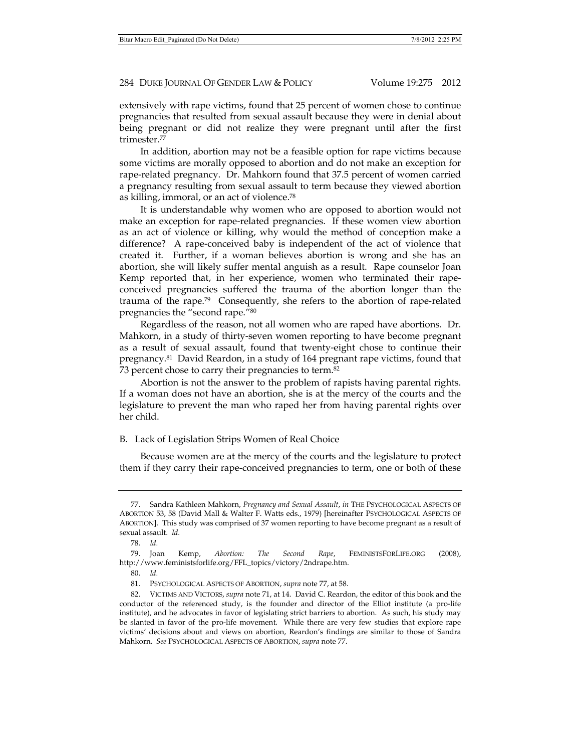extensively with rape victims, found that 25 percent of women chose to continue pregnancies that resulted from sexual assault because they were in denial about being pregnant or did not realize they were pregnant until after the first trimester.77

In addition, abortion may not be a feasible option for rape victims because some victims are morally opposed to abortion and do not make an exception for rape-related pregnancy. Dr. Mahkorn found that 37.5 percent of women carried a pregnancy resulting from sexual assault to term because they viewed abortion as killing, immoral, or an act of violence.78

It is understandable why women who are opposed to abortion would not make an exception for rape-related pregnancies. If these women view abortion as an act of violence or killing, why would the method of conception make a difference? A rape-conceived baby is independent of the act of violence that created it. Further, if a woman believes abortion is wrong and she has an abortion, she will likely suffer mental anguish as a result. Rape counselor Joan Kemp reported that, in her experience, women who terminated their rapeconceived pregnancies suffered the trauma of the abortion longer than the trauma of the rape.79 Consequently, she refers to the abortion of rape-related pregnancies the "second rape."80

Regardless of the reason, not all women who are raped have abortions. Dr. Mahkorn, in a study of thirty-seven women reporting to have become pregnant as a result of sexual assault, found that twenty-eight chose to continue their pregnancy.81 David Reardon, in a study of 164 pregnant rape victims, found that 73 percent chose to carry their pregnancies to term.82

Abortion is not the answer to the problem of rapists having parental rights. If a woman does not have an abortion, she is at the mercy of the courts and the legislature to prevent the man who raped her from having parental rights over her child.

## B. Lack of Legislation Strips Women of Real Choice

Because women are at the mercy of the courts and the legislature to protect them if they carry their rape-conceived pregnancies to term, one or both of these

 <sup>77.</sup> Sandra Kathleen Mahkorn, *Pregnancy and Sexual Assault*, *in* THE PSYCHOLOGICAL ASPECTS OF ABORTION 53, 58 (David Mall & Walter F. Watts eds., 1979) [hereinafter PSYCHOLOGICAL ASPECTS OF ABORTION]. This study was comprised of 37 women reporting to have become pregnant as a result of sexual assault. *Id.*

 <sup>78.</sup> *Id.*

 <sup>79.</sup> Joan Kemp, *Abortion: The Second Rape*, FEMINISTSFORLIFE.ORG (2008), http://www.feministsforlife.org/FFL\_topics/victory/2ndrape.htm.

 <sup>80.</sup> *Id.*

 <sup>81.</sup> PSYCHOLOGICAL ASPECTS OF ABORTION, *supra* note 77, at 58.

 <sup>82.</sup> VICTIMS AND VICTORS, *supra* note 71, at 14. David C. Reardon, the editor of this book and the conductor of the referenced study, is the founder and director of the Elliot institute (a pro-life institute), and he advocates in favor of legislating strict barriers to abortion. As such, his study may be slanted in favor of the pro-life movement. While there are very few studies that explore rape victims' decisions about and views on abortion, Reardon's findings are similar to those of Sandra Mahkorn. *See* PSYCHOLOGICAL ASPECTS OF ABORTION, *supra* note 77.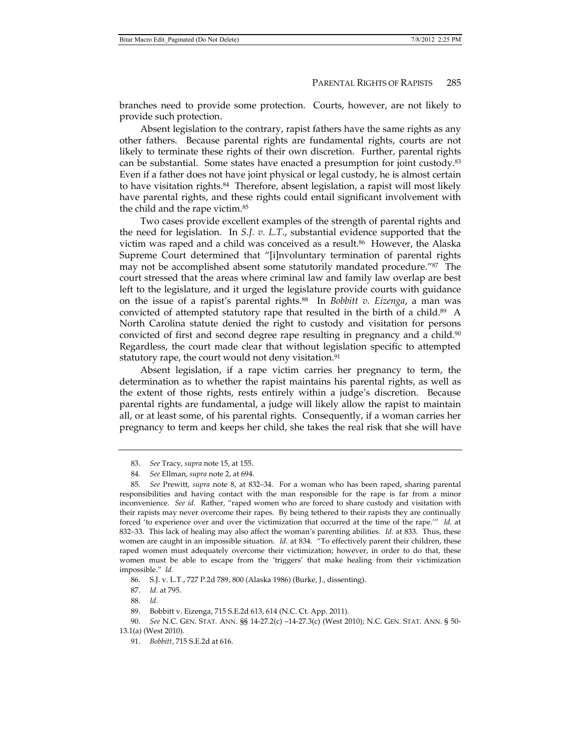branches need to provide some protection. Courts, however, are not likely to provide such protection.

Absent legislation to the contrary, rapist fathers have the same rights as any other fathers. Because parental rights are fundamental rights, courts are not likely to terminate these rights of their own discretion. Further, parental rights can be substantial. Some states have enacted a presumption for joint custody.83 Even if a father does not have joint physical or legal custody, he is almost certain to have visitation rights.<sup>84</sup> Therefore, absent legislation, a rapist will most likely have parental rights, and these rights could entail significant involvement with the child and the rape victim.85

Two cases provide excellent examples of the strength of parental rights and the need for legislation. In *S.J. v. L.T*., substantial evidence supported that the victim was raped and a child was conceived as a result.86 However, the Alaska Supreme Court determined that "[i]nvoluntary termination of parental rights may not be accomplished absent some statutorily mandated procedure."87 The court stressed that the areas where criminal law and family law overlap are best left to the legislature, and it urged the legislature provide courts with guidance on the issue of a rapist's parental rights.88 In *Bobbitt v. Eizenga*, a man was convicted of attempted statutory rape that resulted in the birth of a child.<sup>89</sup> A North Carolina statute denied the right to custody and visitation for persons convicted of first and second degree rape resulting in pregnancy and a child.<sup>90</sup> Regardless, the court made clear that without legislation specific to attempted statutory rape, the court would not deny visitation.<sup>91</sup>

Absent legislation, if a rape victim carries her pregnancy to term, the determination as to whether the rapist maintains his parental rights, as well as the extent of those rights, rests entirely within a judge's discretion. Because parental rights are fundamental, a judge will likely allow the rapist to maintain all, or at least some, of his parental rights. Consequently, if a woman carries her pregnancy to term and keeps her child, she takes the real risk that she will have

 <sup>83.</sup> *See* Tracy, *supra* note 15, at 155.

 <sup>84.</sup> *See* Ellman, *supra* note 2, at 694.

 <sup>85.</sup> *See* Prewitt, *supra* note 8, at 832–34. For a woman who has been raped, sharing parental responsibilities and having contact with the man responsible for the rape is far from a minor inconvenience. *See id.* Rather, "raped women who are forced to share custody and visitation with their rapists may never overcome their rapes. By being tethered to their rapists they are continually forced 'to experience over and over the victimization that occurred at the time of the rape.'" *Id.* at 832–33. This lack of healing may also affect the woman's parenting abilities. *Id.* at 833. Thus, these women are caught in an impossible situation. *Id.* at 834. "To effectively parent their children, these raped women must adequately overcome their victimization; however, in order to do that, these women must be able to escape from the 'triggers' that make healing from their victimization impossible." *Id.*

 <sup>86.</sup> S.J. v. L.T., 727 P.2d 789, 800 (Alaska 1986) (Burke, J., dissenting).

 <sup>87.</sup> *Id.* at 795.

 <sup>88.</sup> *Id.*

 <sup>89.</sup> Bobbitt v. Eizenga, 715 S.E.2d 613, 614 (N.C. Ct. App. 2011).

 <sup>90.</sup> *See* N.C. GEN. STAT. ANN. §§ 14-27.2(c) –14-27.3(c) (West 2010); N.C. GEN. STAT. ANN. § 50- 13.1(a) (West 2010).

 <sup>91.</sup> *Bobbitt*, 715 S.E.2d at 616.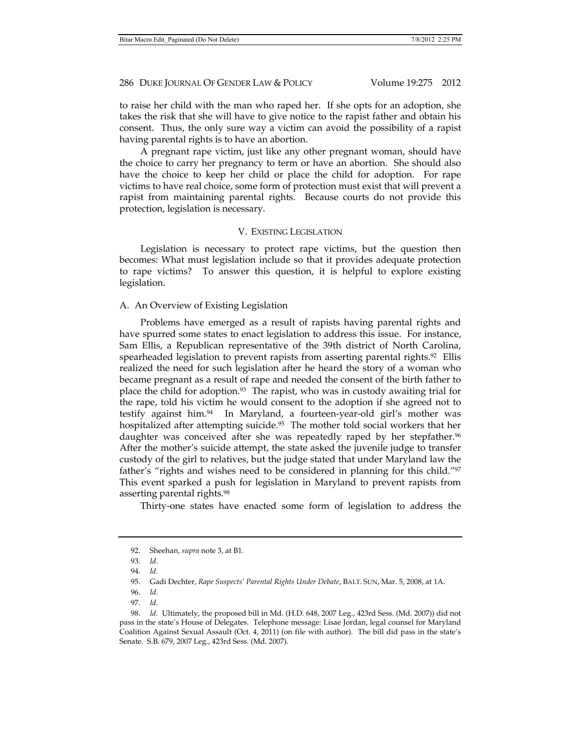to raise her child with the man who raped her. If she opts for an adoption, she takes the risk that she will have to give notice to the rapist father and obtain his consent. Thus, the only sure way a victim can avoid the possibility of a rapist having parental rights is to have an abortion.

A pregnant rape victim, just like any other pregnant woman, should have the choice to carry her pregnancy to term or have an abortion. She should also have the choice to keep her child or place the child for adoption. For rape victims to have real choice, some form of protection must exist that will prevent a rapist from maintaining parental rights. Because courts do not provide this protection, legislation is necessary.

## V. EXISTING LEGISLATION

Legislation is necessary to protect rape victims, but the question then becomes: What must legislation include so that it provides adequate protection to rape victims? To answer this question, it is helpful to explore existing legislation.

#### A. An Overview of Existing Legislation

Problems have emerged as a result of rapists having parental rights and have spurred some states to enact legislation to address this issue. For instance, Sam Ellis, a Republican representative of the 39th district of North Carolina, spearheaded legislation to prevent rapists from asserting parental rights.<sup>92</sup> Ellis realized the need for such legislation after he heard the story of a woman who became pregnant as a result of rape and needed the consent of the birth father to place the child for adoption.93 The rapist, who was in custody awaiting trial for the rape, told his victim he would consent to the adoption if she agreed not to testify against him.<sup>94</sup> In Maryland, a fourteen-year-old girl's mother was hospitalized after attempting suicide.<sup>95</sup> The mother told social workers that her daughter was conceived after she was repeatedly raped by her stepfather.<sup>96</sup> After the mother's suicide attempt, the state asked the juvenile judge to transfer custody of the girl to relatives, but the judge stated that under Maryland law the father's "rights and wishes need to be considered in planning for this child."97 This event sparked a push for legislation in Maryland to prevent rapists from asserting parental rights.98

Thirty-one states have enacted some form of legislation to address the

 <sup>92.</sup> Sheehan, *supra* note 3, at B1.

 <sup>93.</sup> *Id.*

 <sup>94.</sup> *Id.*

 <sup>95.</sup> Gadi Dechter, *Rape Suspects' Parental Rights Under Debate*, BALT. SUN, Mar. 5, 2008, at 1A.

 <sup>96.</sup> *Id.*

 <sup>97.</sup> *Id.*

 <sup>98.</sup> *Id.* Ultimately, the proposed bill in Md. (H.D. 648, 2007 Leg., 423rd Sess. (Md. 2007)) did not pass in the state's House of Delegates. Telephone message: Lisae Jordan, legal counsel for Maryland Coalition Against Sexual Assault (Oct. 4, 2011) (on file with author). The bill did pass in the state's Senate. S.B. 679, 2007 Leg., 423rd Sess. (Md. 2007).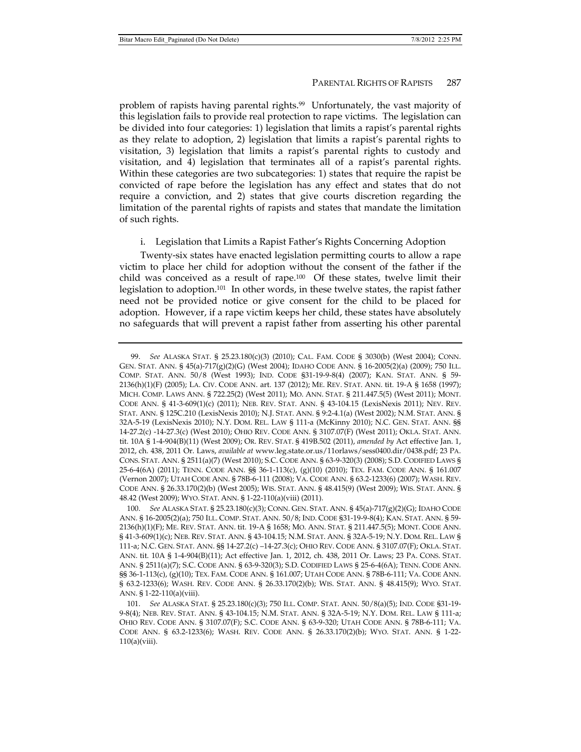problem of rapists having parental rights.99 Unfortunately, the vast majority of this legislation fails to provide real protection to rape victims. The legislation can be divided into four categories: 1) legislation that limits a rapist's parental rights as they relate to adoption, 2) legislation that limits a rapist's parental rights to visitation, 3) legislation that limits a rapist's parental rights to custody and visitation, and 4) legislation that terminates all of a rapist's parental rights. Within these categories are two subcategories: 1) states that require the rapist be convicted of rape before the legislation has any effect and states that do not require a conviction, and 2) states that give courts discretion regarding the limitation of the parental rights of rapists and states that mandate the limitation of such rights.

# i. Legislation that Limits a Rapist Father's Rights Concerning Adoption

Twenty-six states have enacted legislation permitting courts to allow a rape victim to place her child for adoption without the consent of the father if the child was conceived as a result of rape.<sup>100</sup> Of these states, twelve limit their legislation to adoption.101 In other words, in these twelve states, the rapist father need not be provided notice or give consent for the child to be placed for adoption. However, if a rape victim keeps her child, these states have absolutely no safeguards that will prevent a rapist father from asserting his other parental

 <sup>99.</sup> *See* ALASKA STAT. § 25.23.180(c)(3) (2010); CAL. FAM. CODE § 3030(b) (West 2004); CONN. GEN. STAT. ANN. § 45(a)-717(g)(2)(G) (West 2004); IDAHO CODE ANN. § 16-2005(2)(a) (2009); 750 ILL. COMP. STAT. ANN. 50/8 (West 1993); IND. CODE §31-19-9-8(4) (2007); KAN. STAT. ANN. § 59- 2136(h)(1)(F) (2005); LA. CIV. CODE ANN. art. 137 (2012); ME. REV. STAT. ANN. tit. 19-A § 1658 (1997); MICH. COMP. LAWS ANN. § 722.25(2) (West 2011); MO. ANN. STAT. § 211.447.5(5) (West 2011); MONT. CODE ANN. § 41-3-609(1)(c) (2011); NEB. REV. STAT. ANN. § 43-104.15 (LexisNexis 2011); NEV. REV. STAT. ANN. § 125C.210 (LexisNexis 2010); N.J. STAT. ANN. § 9:2-4.1(a) (West 2002); N.M. STAT. ANN. § 32A-5-19 (LexisNexis 2010); N.Y. DOM. REL. LAW § 111-a (McKinny 2010); N.C. GEN. STAT. ANN. §§ 14-27.2(c) -14-27.3(c) (West 2010); OHIO REV. CODE ANN. § 3107.07(F) (West 2011); OKLA. STAT. ANN. tit. 10A § 1-4-904(B)(11) (West 2009); OR. REV. STAT. § 419B.502 (2011), *amended by* Act effective Jan. 1, 2012, ch. 438, 2011 Or. Laws, *available at* www.leg.state.or.us/11orlaws/sess0400.dir/0438.pdf; 23 PA. CONS. STAT. ANN. § 2511(a)(7) (West 2010); S.C. CODE ANN. § 63-9-320(3) (2008); S.D. CODIFIED LAWS § 25-6-4(6A) (2011); TENN. CODE ANN. §§ 36-1-113(c), (g)(10) (2010); TEX. FAM. CODE ANN. § 161.007 (Vernon 2007); UTAH CODE ANN. § 78B-6-111 (2008); VA. CODE ANN. § 63.2-1233(6) (2007); WASH. REV. CODE ANN. § 26.33.170(2)(b) (West 2005); WIS. STAT. ANN. § 48.415(9) (West 2009); WIS. STAT. ANN. § 48.42 (West 2009); WYO. STAT. ANN. § 1-22-110(a)(viii) (2011).

 <sup>100.</sup> *See* ALASKA STAT. § 25.23.180(c)(3); CONN. GEN. STAT. ANN. § 45(a)-717(g)(2)(G); IDAHO CODE ANN. § 16-2005(2)(a); 750 ILL. COMP. STAT. ANN. 50/8; IND. CODE §31-19-9-8(4); KAN. STAT. ANN. § 59- 2136(h)(1)(F); ME. REV. STAT. ANN. tit. 19-A § 1658; MO. ANN. STAT. § 211.447.5(5); MONT. CODE ANN. § 41-3-609(1)(c); NEB. REV. STAT. ANN. § 43-104.15; N.M. STAT. ANN. § 32A-5-19; N.Y. DOM. REL. LAW § 111-a; N.C. GEN. STAT. ANN. §§ 14-27.2(c) –14-27.3(c); OHIO REV. CODE ANN. § 3107.07(F); OKLA. STAT. ANN. tit. 10A § 1-4-904(B)(11); Act effective Jan. 1, 2012, ch. 438, 2011 Or. Laws; 23 PA. CONS. STAT. ANN. § 2511(a)(7); S.C. CODE ANN. § 63-9-320(3); S.D. CODIFIED LAWS § 25-6-4(6A); TENN. CODE ANN. §§ 36-1-113(c), (g)(10); TEX. FAM. CODE ANN. § 161.007; UTAH CODE ANN. § 78B-6-111; VA. CODE ANN. § 63.2-1233(6); WASH. REV. CODE ANN. § 26.33.170(2)(b); WIS. STAT. ANN. § 48.415(9); WYO. STAT. ANN. § 1-22-110(a)(viii).

 <sup>101.</sup> *See* ALASKA STAT. § 25.23.180(c)(3); 750 ILL. COMP. STAT. ANN. 50/8(a)(5); IND. CODE §31-19- 9-8(4); NEB. REV. STAT. ANN. § 43-104.15; N.M. STAT. ANN. § 32A-5-19; N.Y. DOM. REL. LAW § 111-a; OHIO REV. CODE ANN. § 3107.07(F); S.C. CODE ANN. § 63-9-320; UTAH CODE ANN. § 78B-6-111; VA. CODE ANN. § 63.2-1233(6); WASH. REV. CODE ANN. § 26.33.170(2)(b); WYO. STAT. ANN. § 1-22-  $110(a)(viii)$ .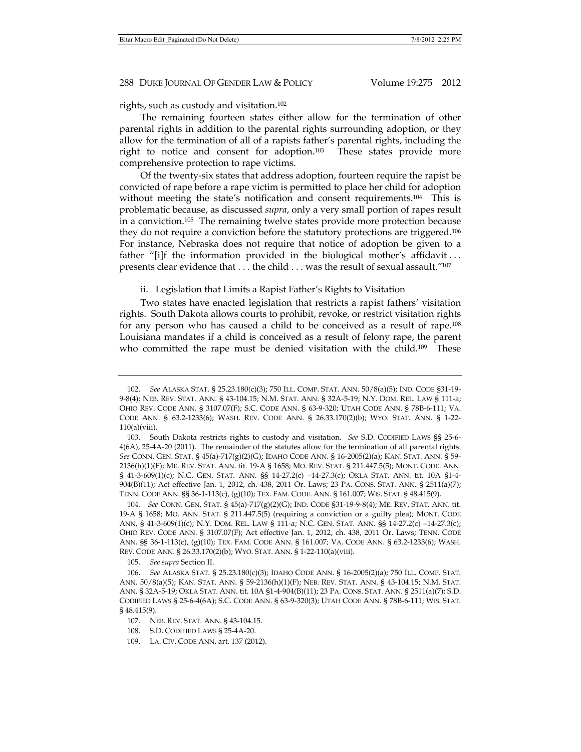rights, such as custody and visitation.102

The remaining fourteen states either allow for the termination of other parental rights in addition to the parental rights surrounding adoption, or they allow for the termination of all of a rapists father's parental rights, including the right to notice and consent for adoption.103 These states provide more comprehensive protection to rape victims.

Of the twenty-six states that address adoption, fourteen require the rapist be convicted of rape before a rape victim is permitted to place her child for adoption without meeting the state's notification and consent requirements.<sup>104</sup> This is problematic because, as discussed *supra*, only a very small portion of rapes result in a conviction.105 The remaining twelve states provide more protection because they do not require a conviction before the statutory protections are triggered.106 For instance, Nebraska does not require that notice of adoption be given to a father "[i]f the information provided in the biological mother's affidavit ... presents clear evidence that . . . the child . . . was the result of sexual assault."107

ii. Legislation that Limits a Rapist Father's Rights to Visitation

Two states have enacted legislation that restricts a rapist fathers' visitation rights. South Dakota allows courts to prohibit, revoke, or restrict visitation rights for any person who has caused a child to be conceived as a result of rape.108 Louisiana mandates if a child is conceived as a result of felony rape, the parent who committed the rape must be denied visitation with the child.<sup>109</sup> These

105. *See supra* Section II.

 <sup>102.</sup> *See* ALASKA STAT. § 25.23.180(c)(3); 750 ILL. COMP. STAT. ANN. 50/8(a)(5); IND. CODE §31-19- 9-8(4); NEB. REV. STAT. ANN. § 43-104.15; N.M. STAT. ANN. § 32A-5-19; N.Y. DOM. REL. LAW § 111-a; OHIO REV. CODE ANN. § 3107.07(F); S.C. CODE ANN. § 63-9-320; UTAH CODE ANN. § 78B-6-111; VA. CODE ANN. § 63.2-1233(6); WASH. REV. CODE ANN. § 26.33.170(2)(b); WYO. STAT. ANN. § 1-22-  $110(a)(viii)$ .

 <sup>103.</sup> South Dakota restricts rights to custody and visitation. *See* S.D. CODIFIED LAWS §§ 25-6- 4(6A), 25-4A-20 (2011). The remainder of the statutes allow for the termination of all parental rights. *See* CONN. GEN. STAT. § 45(a)-717(g)(2)(G); IDAHO CODE ANN. § 16-2005(2)(a); KAN. STAT. ANN. § 59- 2136(h)(1)(F); ME. REV. STAT. ANN. tit. 19-A § 1658; MO. REV. STAT. § 211.447.5(5); MONT. CODE. ANN. § 41-3-609(1)(c); N.C. GEN. STAT. ANN. §§ 14-27.2(c) -14-27.3(c); OKLA STAT. ANN. tit. 10A §1-4-904(B)(11); Act effective Jan. 1, 2012, ch. 438, 2011 Or. Laws; 23 PA. CONS. STAT. ANN. § 2511(a)(7); TENN. CODE ANN. §§ 36-1-113(c), (g)(10); TEX. FAM. CODE. ANN. § 161.007; WIS. STAT. § 48.415(9).

<sup>104</sup>*. See* CONN. GEN. STAT. § 45(a)-717(g)(2)(G); IND. CODE §31-19-9-8(4); ME. REV. STAT. ANN. tit. 19-A § 1658; MO. ANN. STAT. § 211.447.5(5) (requiring a conviction or a guilty plea); MONT. CODE ANN. § 41-3-609(1)(c); N.Y. DOM. REL. LAW § 111-a; N.C. GEN. STAT. ANN. §§ 14-27.2(c) –14-27.3(c); OHIO REV. CODE ANN. § 3107.07(F); Act effective Jan. 1, 2012, ch. 438, 2011 Or. Laws; TENN. CODE ANN. §§ 36-1-113(c), (g)(10); TEX. FAM. CODE ANN. § 161.007; VA. CODE ANN. § 63.2-1233(6); WASH. REV. CODE ANN. § 26.33.170(2)(b); WYO. STAT. ANN. § 1-22-110(a)(viii).

 <sup>106.</sup> *See* ALASKA STAT. § 25.23.180(c)(3); IDAHO CODE ANN. § 16-2005(2)(a); 750 ILL. COMP. STAT. ANN. 50/8(a)(5); KAN. STAT. ANN. § 59-2136(h)(1)(F); NEB. REV. STAT. ANN. § 43-104.15; N.M. STAT. ANN. § 32A-5-19; OKLA STAT. ANN. tit. 10A §1-4-904(B)(11); 23 PA. CONS. STAT. ANN. § 2511(a)(7); S.D. CODIFIED LAWS § 25-6-4(6A); S.C. CODE ANN. § 63-9-320(3); UTAH CODE ANN. § 78B-6-111; WIS. STAT. § 48.415(9).

 <sup>107.</sup> NEB. REV. STAT. ANN. § 43-104.15.

 <sup>108.</sup> S.D. CODIFIED LAWS § 25-4A-20.

 <sup>109.</sup> LA. CIV. CODE ANN. art. 137 (2012).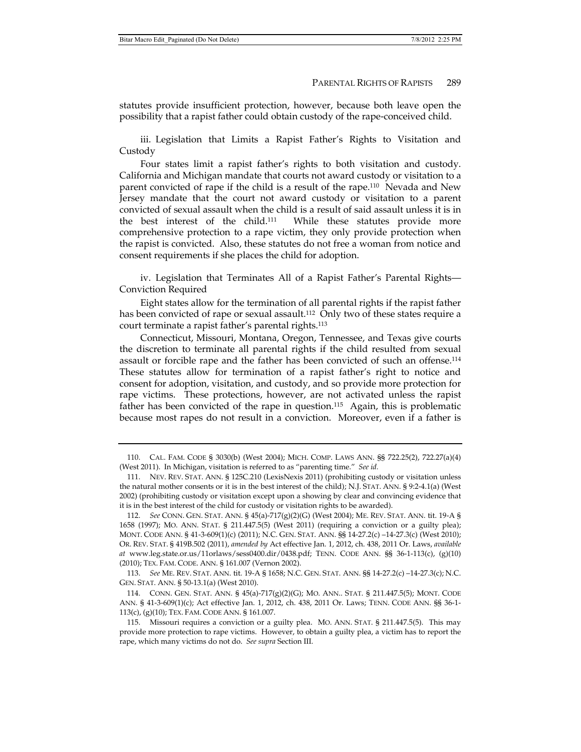statutes provide insufficient protection, however, because both leave open the possibility that a rapist father could obtain custody of the rape-conceived child.

iii. Legislation that Limits a Rapist Father's Rights to Visitation and Custody

Four states limit a rapist father's rights to both visitation and custody. California and Michigan mandate that courts not award custody or visitation to a parent convicted of rape if the child is a result of the rape.110 Nevada and New Jersey mandate that the court not award custody or visitation to a parent convicted of sexual assault when the child is a result of said assault unless it is in the best interest of the child.111 While these statutes provide more comprehensive protection to a rape victim, they only provide protection when the rapist is convicted. Also, these statutes do not free a woman from notice and consent requirements if she places the child for adoption.

iv. Legislation that Terminates All of a Rapist Father's Parental Rights— Conviction Required

Eight states allow for the termination of all parental rights if the rapist father has been convicted of rape or sexual assault.<sup>112</sup> Only two of these states require a court terminate a rapist father's parental rights.113

Connecticut, Missouri, Montana, Oregon, Tennessee, and Texas give courts the discretion to terminate all parental rights if the child resulted from sexual assault or forcible rape and the father has been convicted of such an offense.114 These statutes allow for termination of a rapist father's right to notice and consent for adoption, visitation, and custody, and so provide more protection for rape victims. These protections, however, are not activated unless the rapist father has been convicted of the rape in question.115 Again, this is problematic because most rapes do not result in a conviction. Moreover, even if a father is

 113. *See* ME. REV. STAT. ANN. tit. 19-A § 1658; N.C. GEN. STAT. ANN. §§ 14-27.2(c) –14-27.3(c); N.C. GEN. STAT. ANN. § 50-13.1(a) (West 2010).

 <sup>110.</sup> CAL. FAM. CODE § 3030(b) (West 2004); MICH. COMP. LAWS ANN. §§ 722.25(2), 722.27(a)(4) (West 2011). In Michigan, visitation is referred to as "parenting time." *See id.*

 <sup>111.</sup> NEV. REV. STAT. ANN. § 125C.210 (LexisNexis 2011) (prohibiting custody or visitation unless the natural mother consents or it is in the best interest of the child); N.J. STAT. ANN. § 9:2-4.1(a) (West 2002) (prohibiting custody or visitation except upon a showing by clear and convincing evidence that it is in the best interest of the child for custody or visitation rights to be awarded).

 <sup>112.</sup> *See* CONN. GEN. STAT. ANN. § 45(a)-717(g)(2)(G) (West 2004); ME. REV. STAT. ANN. tit. 19-A § 1658 (1997); MO. ANN. STAT. § 211.447.5(5) (West 2011) (requiring a conviction or a guilty plea); MONT. CODE ANN. § 41-3-609(1)(c) (2011); N.C. GEN. STAT. ANN. §§ 14-27.2(c) –14-27.3(c) (West 2010); OR. REV. STAT. § 419B.502 (2011), *amended by* Act effective Jan. 1, 2012, ch. 438, 2011 Or. Laws, *available at* www.leg.state.or.us/11orlaws/sess0400.dir/0438.pdf; TENN. CODE ANN. §§ 36-1-113(c), (g)(10) (2010); TEX. FAM. CODE. ANN. § 161.007 (Vernon 2002).

 <sup>114.</sup> CONN. GEN. STAT. ANN. § 45(a)-717(g)(2)(G); MO. ANN.. STAT. § 211.447.5(5); MONT. CODE ANN. § 41-3-609(1)(c); Act effective Jan. 1, 2012, ch. 438, 2011 Or. Laws; TENN. CODE ANN. §§ 36-1- 113(c), (g)(10); TEX. FAM. CODE ANN. § 161.007.

 <sup>115.</sup> Missouri requires a conviction or a guilty plea. MO. ANN. STAT. § 211.447.5(5). This may provide more protection to rape victims. However, to obtain a guilty plea, a victim has to report the rape, which many victims do not do. *See supra* Section III.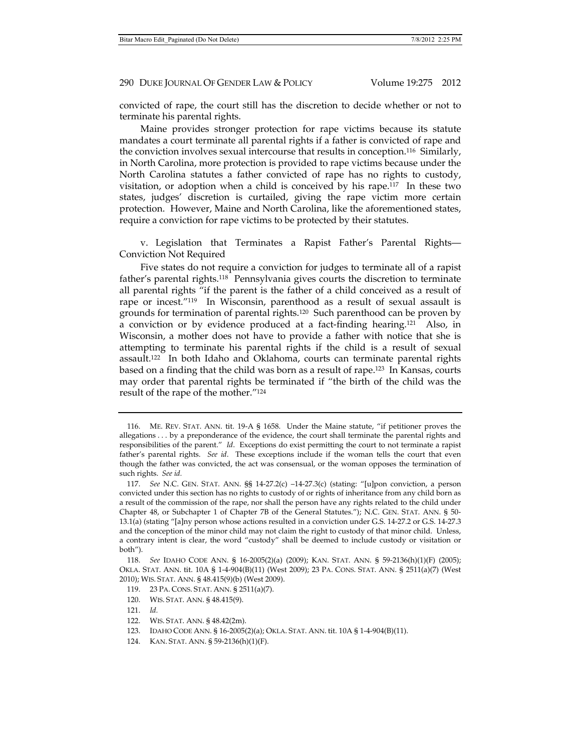convicted of rape, the court still has the discretion to decide whether or not to terminate his parental rights.

Maine provides stronger protection for rape victims because its statute mandates a court terminate all parental rights if a father is convicted of rape and the conviction involves sexual intercourse that results in conception.116 Similarly, in North Carolina, more protection is provided to rape victims because under the North Carolina statutes a father convicted of rape has no rights to custody, visitation, or adoption when a child is conceived by his rape.117 In these two states, judges' discretion is curtailed, giving the rape victim more certain protection. However, Maine and North Carolina, like the aforementioned states, require a conviction for rape victims to be protected by their statutes.

v. Legislation that Terminates a Rapist Father's Parental Rights— Conviction Not Required

Five states do not require a conviction for judges to terminate all of a rapist father's parental rights.<sup>118</sup> Pennsylvania gives courts the discretion to terminate all parental rights "if the parent is the father of a child conceived as a result of rape or incest."119 In Wisconsin, parenthood as a result of sexual assault is grounds for termination of parental rights.120 Such parenthood can be proven by a conviction or by evidence produced at a fact-finding hearing.121 Also, in Wisconsin, a mother does not have to provide a father with notice that she is attempting to terminate his parental rights if the child is a result of sexual assault.122 In both Idaho and Oklahoma, courts can terminate parental rights based on a finding that the child was born as a result of rape.123 In Kansas, courts may order that parental rights be terminated if "the birth of the child was the result of the rape of the mother."124

- 123. IDAHO CODE ANN. § 16-2005(2)(a); OKLA. STAT. ANN. tit. 10A § 1-4-904(B)(11).
- 124. KAN. STAT. ANN. § 59-2136(h)(1)(F).

 <sup>116.</sup> ME. REV. STAT. ANN. tit. 19-A § 1658. Under the Maine statute, "if petitioner proves the allegations . . . by a preponderance of the evidence, the court shall terminate the parental rights and responsibilities of the parent." *Id*. Exceptions do exist permitting the court to not terminate a rapist father's parental rights. *See id*. These exceptions include if the woman tells the court that even though the father was convicted, the act was consensual, or the woman opposes the termination of such rights. *See id.*

 <sup>117.</sup> *See* N.C. GEN. STAT. ANN. §§ 14-27.2(c) –14-27.3(c) (stating: "[u]pon conviction, a person convicted under this section has no rights to custody of or rights of inheritance from any child born as a result of the commission of the rape, nor shall the person have any rights related to the child under Chapter 48, or Subchapter 1 of Chapter 7B of the General Statutes."); N.C. GEN. STAT. ANN. § 50- 13.1(a) (stating "[a]ny person whose actions resulted in a conviction under G.S. 14-27.2 or G.S. 14-27.3 and the conception of the minor child may not claim the right to custody of that minor child. Unless, a contrary intent is clear, the word "custody" shall be deemed to include custody or visitation or both").

 <sup>118.</sup> *See* IDAHO CODE ANN. § 16-2005(2)(a) (2009); KAN. STAT. ANN. § 59-2136(h)(1)(F) (2005); OKLA. STAT. ANN. tit. 10A § 1-4-904(B)(11) (West 2009); 23 PA. CONS. STAT. ANN. § 2511(a)(7) (West 2010); WIS. STAT. ANN. § 48.415(9)(b) (West 2009).

 <sup>119. 23</sup> PA. CONS. STAT. ANN. § 2511(a)(7).

 <sup>120.</sup> WIS. STAT. ANN. § 48.415(9).

 <sup>121.</sup> *Id.*

 <sup>122.</sup> WIS. STAT. ANN. § 48.42(2m).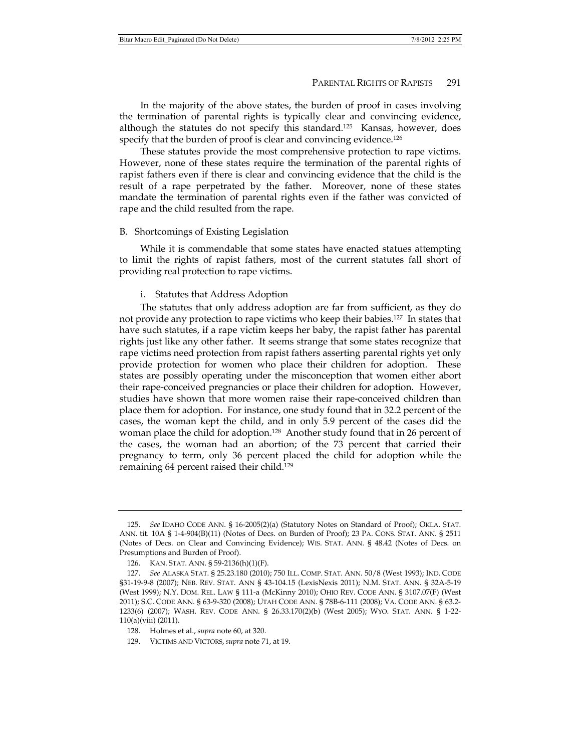In the majority of the above states, the burden of proof in cases involving the termination of parental rights is typically clear and convincing evidence, although the statutes do not specify this standard.<sup>125</sup> Kansas, however, does specify that the burden of proof is clear and convincing evidence.<sup>126</sup>

These statutes provide the most comprehensive protection to rape victims. However, none of these states require the termination of the parental rights of rapist fathers even if there is clear and convincing evidence that the child is the result of a rape perpetrated by the father. Moreover, none of these states mandate the termination of parental rights even if the father was convicted of rape and the child resulted from the rape.

#### B. Shortcomings of Existing Legislation

While it is commendable that some states have enacted statues attempting to limit the rights of rapist fathers, most of the current statutes fall short of providing real protection to rape victims.

### i. Statutes that Address Adoption

The statutes that only address adoption are far from sufficient, as they do not provide any protection to rape victims who keep their babies.127 In states that have such statutes, if a rape victim keeps her baby, the rapist father has parental rights just like any other father. It seems strange that some states recognize that rape victims need protection from rapist fathers asserting parental rights yet only provide protection for women who place their children for adoption. These states are possibly operating under the misconception that women either abort their rape-conceived pregnancies or place their children for adoption. However, studies have shown that more women raise their rape-conceived children than place them for adoption. For instance, one study found that in 32.2 percent of the cases, the woman kept the child, and in only 5.9 percent of the cases did the woman place the child for adoption.128 Another study found that in 26 percent of the cases, the woman had an abortion; of the 73 percent that carried their pregnancy to term, only 36 percent placed the child for adoption while the remaining 64 percent raised their child.129

 <sup>125.</sup> *See* IDAHO CODE ANN. § 16-2005(2)(a) (Statutory Notes on Standard of Proof); OKLA. STAT. ANN. tit. 10A § 1-4-904(B)(11) (Notes of Decs. on Burden of Proof); 23 PA. CONS. STAT. ANN. § 2511 (Notes of Decs. on Clear and Convincing Evidence); WIS. STAT. ANN. § 48.42 (Notes of Decs. on Presumptions and Burden of Proof).

 <sup>126.</sup> KAN. STAT. ANN. § 59-2136(h)(1)(F).

 <sup>127.</sup> *See* ALASKA STAT. § 25.23.180 (2010); 750 ILL. COMP. STAT. ANN. 50/8 (West 1993); IND. CODE §31-19-9-8 (2007); NEB. REV. STAT. ANN § 43-104.15 (LexisNexis 2011); N.M. STAT. ANN. § 32A-5-19 (West 1999); N.Y. DOM. REL. LAW § 111-a (McKinny 2010); OHIO REV. CODE ANN. § 3107.07(F) (West 2011); S.C. CODE ANN. § 63-9-320 (2008); UTAH CODE ANN. § 78B-6-111 (2008); VA. CODE ANN. § 63.2- 1233(6) (2007); WASH. REV. CODE ANN. § 26.33.170(2)(b) (West 2005); WYO. STAT. ANN. § 1-22- 110(a)(viii) (2011).

 <sup>128.</sup> Holmes et al., *supra* note 60, at 320.

 <sup>129.</sup> VICTIMS AND VICTORS, *supra* note 71, at 19.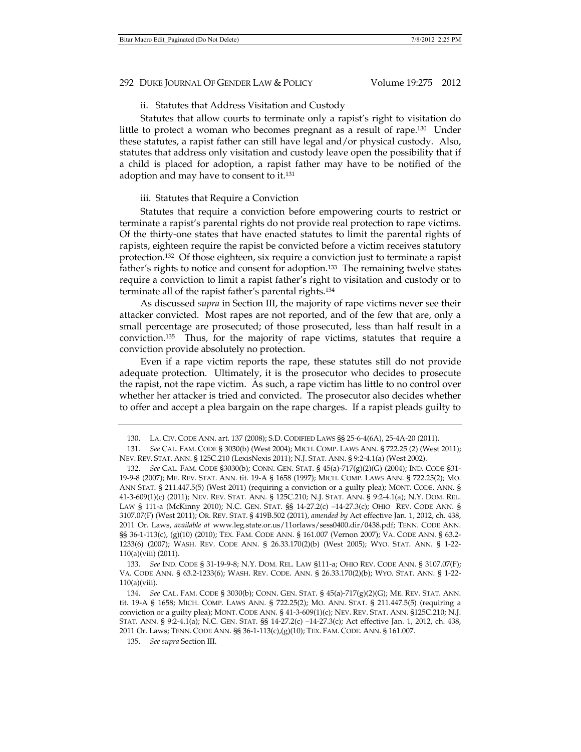#### ii. Statutes that Address Visitation and Custody

Statutes that allow courts to terminate only a rapist's right to visitation do little to protect a woman who becomes pregnant as a result of rape.130 Under these statutes, a rapist father can still have legal and/or physical custody. Also, statutes that address only visitation and custody leave open the possibility that if a child is placed for adoption, a rapist father may have to be notified of the adoption and may have to consent to it.131

## iii. Statutes that Require a Conviction

Statutes that require a conviction before empowering courts to restrict or terminate a rapist's parental rights do not provide real protection to rape victims. Of the thirty-one states that have enacted statutes to limit the parental rights of rapists, eighteen require the rapist be convicted before a victim receives statutory protection.132 Of those eighteen, six require a conviction just to terminate a rapist father's rights to notice and consent for adoption.<sup>133</sup> The remaining twelve states require a conviction to limit a rapist father's right to visitation and custody or to terminate all of the rapist father's parental rights.134

As discussed *supra* in Section III, the majority of rape victims never see their attacker convicted. Most rapes are not reported, and of the few that are, only a small percentage are prosecuted; of those prosecuted, less than half result in a conviction.135 Thus, for the majority of rape victims, statutes that require a conviction provide absolutely no protection.

Even if a rape victim reports the rape, these statutes still do not provide adequate protection. Ultimately, it is the prosecutor who decides to prosecute the rapist, not the rape victim. As such, a rape victim has little to no control over whether her attacker is tried and convicted. The prosecutor also decides whether to offer and accept a plea bargain on the rape charges. If a rapist pleads guilty to

 133. *See* IND. CODE § 31-19-9-8; N.Y. DOM. REL. LAW §111-a; OHIO REV. CODE ANN. § 3107.07(F); VA. CODE ANN. § 63.2-1233(6); WASH. REV. CODE. ANN. § 26.33.170(2)(b); WYO. STAT. ANN. § 1-22-  $110(a)(viii)$ .

 <sup>130.</sup> LA. CIV. CODE ANN. art. 137 (2008); S.D. CODIFIED LAWS §§ 25-6-4(6A), 25-4A-20 (2011).

 <sup>131.</sup> *See* CAL. FAM. CODE § 3030(b) (West 2004); MICH. COMP. LAWS ANN. § 722.25 (2) (West 2011); NEV. REV. STAT. ANN. § 125C.210 (LexisNexis 2011); N.J. STAT. ANN. § 9:2-4.1(a) (West 2002).

 <sup>132.</sup> *See* CAL. FAM. CODE §3030(b); CONN. GEN. STAT. § 45(a)-717(g)(2)(G) (2004); IND. CODE §31- 19-9-8 (2007); ME. REV. STAT. ANN. tit. 19-A § 1658 (1997); MICH. COMP. LAWS ANN. § 722.25(2); MO. ANN STAT. § 211.447.5(5) (West 2011) (requiring a conviction or a guilty plea); MONT. CODE. ANN. § 41-3-609(1)(c) (2011); NEV. REV. STAT. ANN. § 125C.210; N.J. STAT. ANN. § 9:2-4.1(a); N.Y. DOM. REL. LAW § 111-a (McKinny 2010); N.C. GEN. STAT. §§ 14-27.2(c) –14-27.3(c); OHIO REV. CODE ANN. § 3107.07(F) (West 2011); OR. REV. STAT. § 419B.502 (2011), *amended by* Act effective Jan. 1, 2012, ch. 438, 2011 Or. Laws, *available at* www.leg.state.or.us/11orlaws/sess0400.dir/0438.pdf; TENN. CODE ANN. §§ 36-1-113(c), (g)(10) (2010); TEX. FAM. CODE ANN. § 161.007 (Vernon 2007); VA. CODE ANN. § 63.2-1233(6) (2007); WASH. REV. CODE ANN. § 26.33.170(2)(b) (West 2005); WYO. STAT. ANN. § 1-22- 110(a)(viii) (2011).

 <sup>134.</sup> *See* CAL. FAM. CODE § 3030(b); CONN. GEN. STAT. § 45(a)-717(g)(2)(G); ME. REV. STAT. ANN. tit. 19-A § 1658; MICH. COMP. LAWS ANN. § 722.25(2); MO. ANN. STAT. § 211.447.5(5) (requiring a conviction or a guilty plea); MONT. CODE ANN. § 41-3-609(1)(c); NEV. REV. STAT. ANN. §125C.210; N.J. STAT. ANN. § 9:2-4.1(a); N.C. GEN. STAT. §§ 14-27.2(c) –14-27.3(c); Act effective Jan. 1, 2012, ch. 438, 2011 Or. Laws; TENN. CODE ANN. §§ 36-1-113(c),(g)(10); TEX. FAM. CODE. ANN. § 161.007.

 <sup>135.</sup> *See supra* Section III.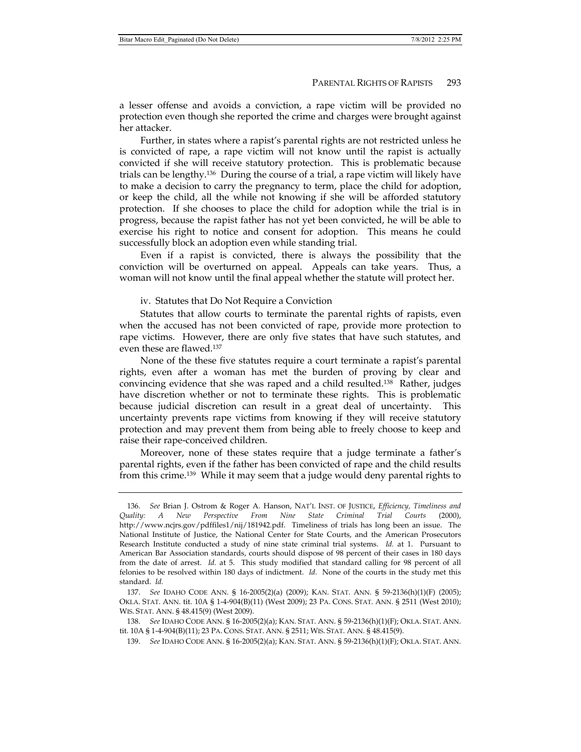a lesser offense and avoids a conviction, a rape victim will be provided no protection even though she reported the crime and charges were brought against her attacker.

Further, in states where a rapist's parental rights are not restricted unless he is convicted of rape, a rape victim will not know until the rapist is actually convicted if she will receive statutory protection. This is problematic because trials can be lengthy.136 During the course of a trial, a rape victim will likely have to make a decision to carry the pregnancy to term, place the child for adoption, or keep the child, all the while not knowing if she will be afforded statutory protection. If she chooses to place the child for adoption while the trial is in progress, because the rapist father has not yet been convicted, he will be able to exercise his right to notice and consent for adoption. This means he could successfully block an adoption even while standing trial.

Even if a rapist is convicted, there is always the possibility that the conviction will be overturned on appeal. Appeals can take years. Thus, a woman will not know until the final appeal whether the statute will protect her.

# iv. Statutes that Do Not Require a Conviction

Statutes that allow courts to terminate the parental rights of rapists, even when the accused has not been convicted of rape, provide more protection to rape victims. However, there are only five states that have such statutes, and even these are flawed.137

None of the these five statutes require a court terminate a rapist's parental rights, even after a woman has met the burden of proving by clear and convincing evidence that she was raped and a child resulted.138 Rather, judges have discretion whether or not to terminate these rights. This is problematic because judicial discretion can result in a great deal of uncertainty. This uncertainty prevents rape victims from knowing if they will receive statutory protection and may prevent them from being able to freely choose to keep and raise their rape-conceived children.

Moreover, none of these states require that a judge terminate a father's parental rights, even if the father has been convicted of rape and the child results from this crime.139 While it may seem that a judge would deny parental rights to

 <sup>136.</sup> *See* Brian J. Ostrom & Roger A. Hanson, NAT'L INST. OF JUSTICE, *Efficiency, Timeliness and Quality: A New Perspective From Nine State Criminal Trial Courts* (2000), http://www.ncjrs.gov/pdffiles1/nij/181942.pdf. Timeliness of trials has long been an issue. The National Institute of Justice, the National Center for State Courts, and the American Prosecutors Research Institute conducted a study of nine state criminal trial systems. *Id.* at 1. Pursuant to American Bar Association standards, courts should dispose of 98 percent of their cases in 180 days from the date of arrest. *Id.* at 5. This study modified that standard calling for 98 percent of all felonies to be resolved within 180 days of indictment. *Id.* None of the courts in the study met this standard. *Id.*

 <sup>137.</sup> *See* IDAHO CODE ANN. § 16-2005(2)(a) (2009); KAN. STAT. ANN. § 59-2136(h)(1)(F) (2005); OKLA. STAT. ANN. tit. 10A § 1-4-904(B)(11) (West 2009); 23 PA. CONS. STAT. ANN. § 2511 (West 2010); WIS. STAT. ANN. § 48.415(9) (West 2009).

 <sup>138.</sup> *See* IDAHO CODE ANN. § 16-2005(2)(a); KAN. STAT. ANN. § 59-2136(h)(1)(F); OKLA. STAT. ANN. tit. 10A § 1-4-904(B)(11); 23 PA. CONS. STAT. ANN. § 2511; WIS. STAT. ANN. § 48.415(9).

 <sup>139.</sup> *See* IDAHO CODE ANN. § 16-2005(2)(a); KAN. STAT. ANN. § 59-2136(h)(1)(F); OKLA. STAT. ANN.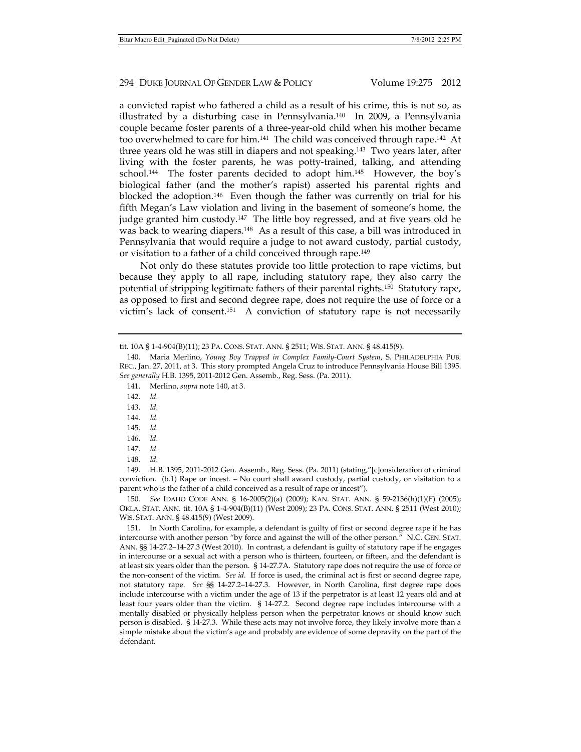a convicted rapist who fathered a child as a result of his crime, this is not so, as illustrated by a disturbing case in Pennsylvania.140 In 2009, a Pennsylvania couple became foster parents of a three-year-old child when his mother became too overwhelmed to care for him.<sup>141</sup> The child was conceived through rape.<sup>142</sup> At three years old he was still in diapers and not speaking.143 Two years later, after living with the foster parents, he was potty-trained, talking, and attending school.144 The foster parents decided to adopt him.145 However, the boy's biological father (and the mother's rapist) asserted his parental rights and blocked the adoption.146 Even though the father was currently on trial for his fifth Megan's Law violation and living in the basement of someone's home, the judge granted him custody.147 The little boy regressed, and at five years old he was back to wearing diapers.148 As a result of this case, a bill was introduced in Pennsylvania that would require a judge to not award custody, partial custody, or visitation to a father of a child conceived through rape.149

Not only do these statutes provide too little protection to rape victims, but because they apply to all rape, including statutory rape, they also carry the potential of stripping legitimate fathers of their parental rights.150 Statutory rape, as opposed to first and second degree rape, does not require the use of force or a victim's lack of consent.151 A conviction of statutory rape is not necessarily

- 141. Merlino, *supra* note 140, at 3.
- 142. *Id.*
- 143. *Id.*
- 144. *Id.*
- 145. *Id.*
- 146. *Id.*
- 147. *Id.*
- 148. *Id.*

 149. H.B. 1395, 2011-2012 Gen. Assemb., Reg. Sess. (Pa. 2011) (stating,"[c]onsideration of criminal conviction. (b.1) Rape or incest. – No court shall award custody, partial custody, or visitation to a parent who is the father of a child conceived as a result of rape or incest").

 150. *See* IDAHO CODE ANN. § 16-2005(2)(a) (2009); KAN. STAT. ANN. § 59-2136(h)(1)(F) (2005); OKLA. STAT. ANN. tit. 10A § 1-4-904(B)(11) (West 2009); 23 PA. CONS. STAT. ANN. § 2511 (West 2010); WIS. STAT. ANN. § 48.415(9) (West 2009).

 151. In North Carolina, for example, a defendant is guilty of first or second degree rape if he has intercourse with another person "by force and against the will of the other person." N.C. GEN. STAT. ANN. §§ 14-27.2–14-27.3 (West 2010). In contrast, a defendant is guilty of statutory rape if he engages in intercourse or a sexual act with a person who is thirteen, fourteen, or fifteen, and the defendant is at least six years older than the person. § 14-27.7A. Statutory rape does not require the use of force or the non-consent of the victim. *See id.* If force is used, the criminal act is first or second degree rape, not statutory rape. *See* §§ 14-27.2–14-27.3. However, in North Carolina, first degree rape does include intercourse with a victim under the age of 13 if the perpetrator is at least 12 years old and at least four years older than the victim. § 14-27.2. Second degree rape includes intercourse with a mentally disabled or physically helpless person when the perpetrator knows or should know such person is disabled. § 14-27.3. While these acts may not involve force, they likely involve more than a simple mistake about the victim's age and probably are evidence of some depravity on the part of the defendant.

tit. 10A § 1-4-904(B)(11); 23 PA. CONS. STAT. ANN. § 2511; WIS. STAT. ANN. § 48.415(9).

 <sup>140.</sup> Maria Merlino, *Young Boy Trapped in Complex Family-Court System*, S. PHILADELPHIA PUB. REC., Jan. 27, 2011, at 3. This story prompted Angela Cruz to introduce Pennsylvania House Bill 1395. *See generally* H.B. 1395, 2011-2012 Gen. Assemb., Reg. Sess. (Pa. 2011).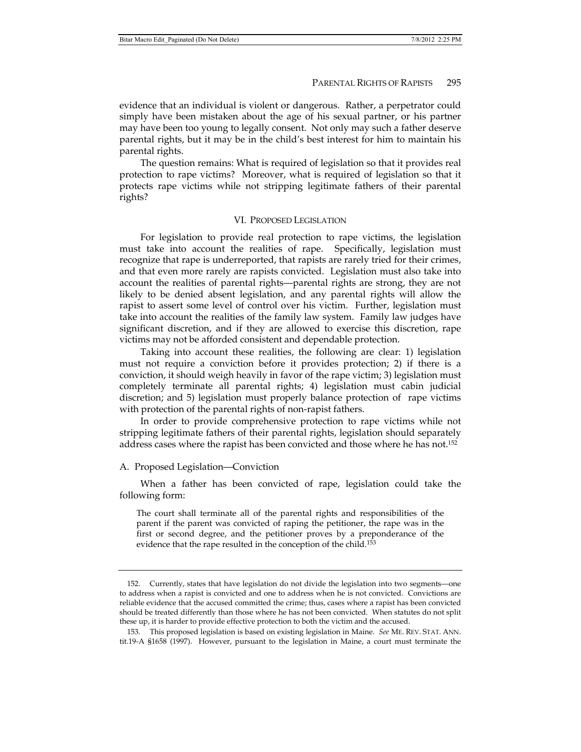evidence that an individual is violent or dangerous. Rather, a perpetrator could simply have been mistaken about the age of his sexual partner, or his partner may have been too young to legally consent. Not only may such a father deserve parental rights, but it may be in the child's best interest for him to maintain his parental rights.

The question remains: What is required of legislation so that it provides real protection to rape victims? Moreover, what is required of legislation so that it protects rape victims while not stripping legitimate fathers of their parental rights?

#### VI. PROPOSED LEGISLATION

For legislation to provide real protection to rape victims, the legislation must take into account the realities of rape. Specifically, legislation must recognize that rape is underreported, that rapists are rarely tried for their crimes, and that even more rarely are rapists convicted. Legislation must also take into account the realities of parental rights—parental rights are strong, they are not likely to be denied absent legislation, and any parental rights will allow the rapist to assert some level of control over his victim. Further, legislation must take into account the realities of the family law system. Family law judges have significant discretion, and if they are allowed to exercise this discretion, rape victims may not be afforded consistent and dependable protection.

Taking into account these realities, the following are clear: 1) legislation must not require a conviction before it provides protection; 2) if there is a conviction, it should weigh heavily in favor of the rape victim; 3) legislation must completely terminate all parental rights; 4) legislation must cabin judicial discretion; and 5) legislation must properly balance protection of rape victims with protection of the parental rights of non-rapist fathers.

In order to provide comprehensive protection to rape victims while not stripping legitimate fathers of their parental rights, legislation should separately address cases where the rapist has been convicted and those where he has not.152

#### A. Proposed Legislation—Conviction

When a father has been convicted of rape, legislation could take the following form:

The court shall terminate all of the parental rights and responsibilities of the parent if the parent was convicted of raping the petitioner, the rape was in the first or second degree, and the petitioner proves by a preponderance of the evidence that the rape resulted in the conception of the child.<sup>153</sup>

 <sup>152.</sup> Currently, states that have legislation do not divide the legislation into two segments—one to address when a rapist is convicted and one to address when he is not convicted. Convictions are reliable evidence that the accused committed the crime; thus, cases where a rapist has been convicted should be treated differently than those where he has not been convicted. When statutes do not split these up, it is harder to provide effective protection to both the victim and the accused.

 <sup>153.</sup> This proposed legislation is based on existing legislation in Maine. *See* ME. REV. STAT. ANN. tit.19-A §1658 (1997). However, pursuant to the legislation in Maine, a court must terminate the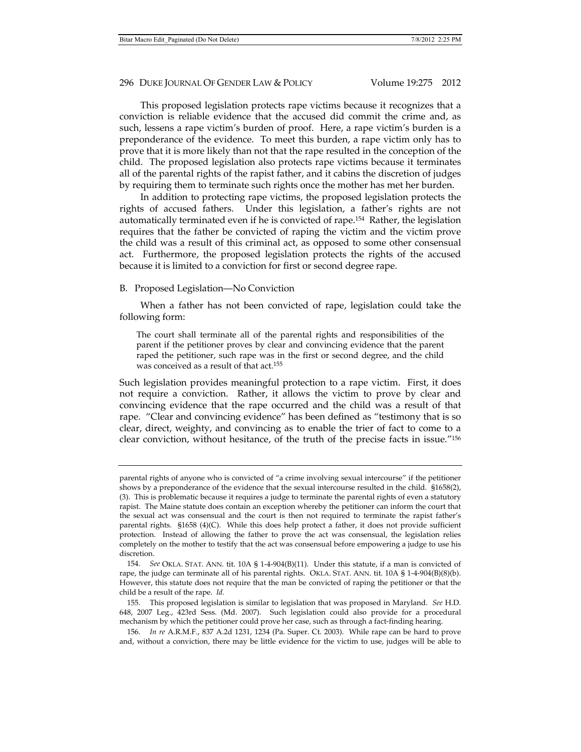This proposed legislation protects rape victims because it recognizes that a conviction is reliable evidence that the accused did commit the crime and, as such, lessens a rape victim's burden of proof. Here, a rape victim's burden is a preponderance of the evidence. To meet this burden, a rape victim only has to prove that it is more likely than not that the rape resulted in the conception of the child. The proposed legislation also protects rape victims because it terminates all of the parental rights of the rapist father, and it cabins the discretion of judges by requiring them to terminate such rights once the mother has met her burden.

In addition to protecting rape victims, the proposed legislation protects the rights of accused fathers. Under this legislation, a father's rights are not automatically terminated even if he is convicted of rape.154 Rather, the legislation requires that the father be convicted of raping the victim and the victim prove the child was a result of this criminal act, as opposed to some other consensual act. Furthermore, the proposed legislation protects the rights of the accused because it is limited to a conviction for first or second degree rape.

#### B. Proposed Legislation—No Conviction

When a father has not been convicted of rape, legislation could take the following form:

The court shall terminate all of the parental rights and responsibilities of the parent if the petitioner proves by clear and convincing evidence that the parent raped the petitioner, such rape was in the first or second degree, and the child was conceived as a result of that act.<sup>155</sup>

Such legislation provides meaningful protection to a rape victim. First, it does not require a conviction. Rather, it allows the victim to prove by clear and convincing evidence that the rape occurred and the child was a result of that rape. "Clear and convincing evidence" has been defined as "testimony that is so clear, direct, weighty, and convincing as to enable the trier of fact to come to a clear conviction, without hesitance, of the truth of the precise facts in issue."156

parental rights of anyone who is convicted of "a crime involving sexual intercourse" if the petitioner shows by a preponderance of the evidence that the sexual intercourse resulted in the child. §1658(2), (3). This is problematic because it requires a judge to terminate the parental rights of even a statutory rapist. The Maine statute does contain an exception whereby the petitioner can inform the court that the sexual act was consensual and the court is then not required to terminate the rapist father's parental rights. §1658 (4)(C). While this does help protect a father, it does not provide sufficient protection. Instead of allowing the father to prove the act was consensual, the legislation relies completely on the mother to testify that the act was consensual before empowering a judge to use his discretion.

 <sup>154.</sup> *See* OKLA. STAT. ANN. tit. 10A § 1-4-904(B)(11). Under this statute, if a man is convicted of rape, the judge can terminate all of his parental rights. OKLA. STAT. ANN. tit. 10A § 1-4-904(B)(8)(b). However, this statute does not require that the man be convicted of raping the petitioner or that the child be a result of the rape. *Id.*

 <sup>155.</sup> This proposed legislation is similar to legislation that was proposed in Maryland. *See* H.D. 648, 2007 Leg., 423rd Sess. (Md. 2007). Such legislation could also provide for a procedural mechanism by which the petitioner could prove her case, such as through a fact-finding hearing.

 <sup>156.</sup> *In re* A.R.M.F., 837 A.2d 1231, 1234 (Pa. Super. Ct. 2003). While rape can be hard to prove and, without a conviction, there may be little evidence for the victim to use, judges will be able to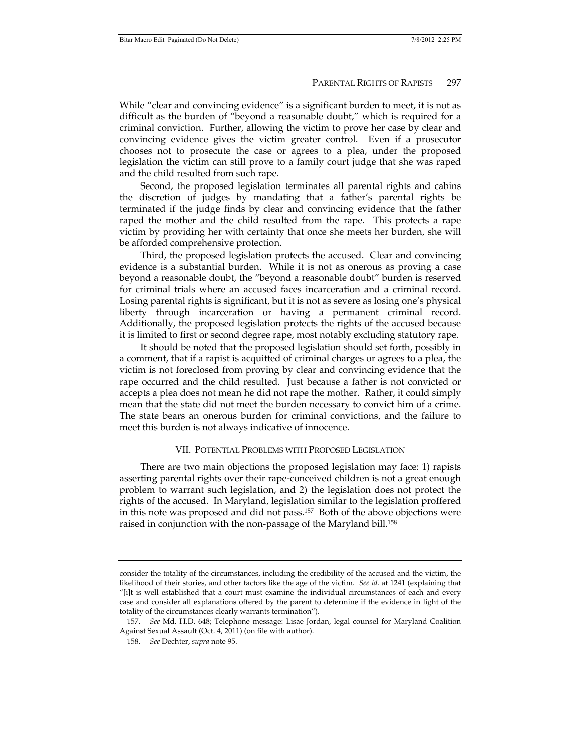While "clear and convincing evidence" is a significant burden to meet, it is not as difficult as the burden of "beyond a reasonable doubt," which is required for a criminal conviction. Further, allowing the victim to prove her case by clear and convincing evidence gives the victim greater control. Even if a prosecutor chooses not to prosecute the case or agrees to a plea, under the proposed legislation the victim can still prove to a family court judge that she was raped and the child resulted from such rape.

Second, the proposed legislation terminates all parental rights and cabins the discretion of judges by mandating that a father's parental rights be terminated if the judge finds by clear and convincing evidence that the father raped the mother and the child resulted from the rape. This protects a rape victim by providing her with certainty that once she meets her burden, she will be afforded comprehensive protection.

Third, the proposed legislation protects the accused. Clear and convincing evidence is a substantial burden. While it is not as onerous as proving a case beyond a reasonable doubt, the "beyond a reasonable doubt" burden is reserved for criminal trials where an accused faces incarceration and a criminal record. Losing parental rights is significant, but it is not as severe as losing one's physical liberty through incarceration or having a permanent criminal record. Additionally, the proposed legislation protects the rights of the accused because it is limited to first or second degree rape, most notably excluding statutory rape.

It should be noted that the proposed legislation should set forth, possibly in a comment, that if a rapist is acquitted of criminal charges or agrees to a plea, the victim is not foreclosed from proving by clear and convincing evidence that the rape occurred and the child resulted. Just because a father is not convicted or accepts a plea does not mean he did not rape the mother. Rather, it could simply mean that the state did not meet the burden necessary to convict him of a crime. The state bears an onerous burden for criminal convictions, and the failure to meet this burden is not always indicative of innocence.

# VII. POTENTIAL PROBLEMS WITH PROPOSED LEGISLATION

There are two main objections the proposed legislation may face: 1) rapists asserting parental rights over their rape-conceived children is not a great enough problem to warrant such legislation, and 2) the legislation does not protect the rights of the accused. In Maryland, legislation similar to the legislation proffered in this note was proposed and did not pass.157 Both of the above objections were raised in conjunction with the non-passage of the Maryland bill.<sup>158</sup>

consider the totality of the circumstances, including the credibility of the accused and the victim, the likelihood of their stories, and other factors like the age of the victim. *See id.* at 1241 (explaining that "[i]t is well established that a court must examine the individual circumstances of each and every case and consider all explanations offered by the parent to determine if the evidence in light of the totality of the circumstances clearly warrants termination").

 <sup>157.</sup> *See* Md. H.D. 648; Telephone message: Lisae Jordan, legal counsel for Maryland Coalition Against Sexual Assault (Oct. 4, 2011) (on file with author).

 <sup>158.</sup> *See* Dechter, *supra* note 95.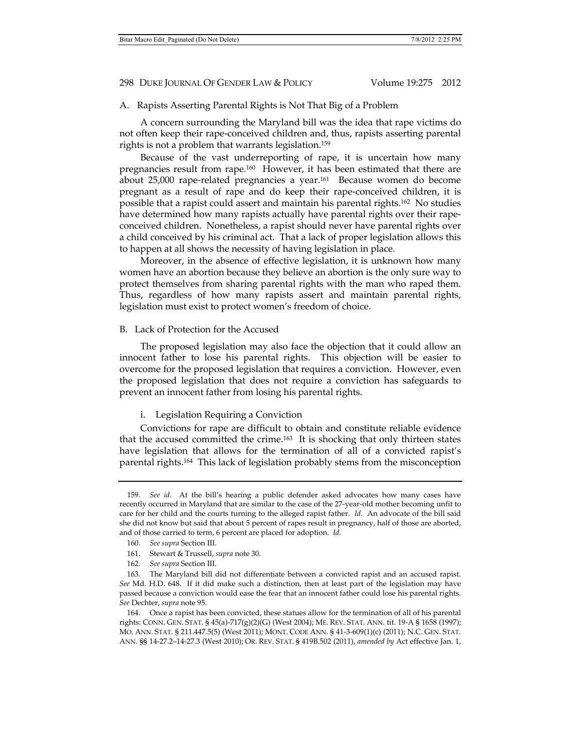# A. Rapists Asserting Parental Rights is Not That Big of a Problem

A concern surrounding the Maryland bill was the idea that rape victims do not often keep their rape-conceived children and, thus, rapists asserting parental rights is not a problem that warrants legislation.159

Because of the vast underreporting of rape, it is uncertain how many pregnancies result from rape.160 However, it has been estimated that there are about 25,000 rape-related pregnancies a year.161 Because women do become pregnant as a result of rape and do keep their rape-conceived children, it is possible that a rapist could assert and maintain his parental rights.162 No studies have determined how many rapists actually have parental rights over their rapeconceived children. Nonetheless, a rapist should never have parental rights over a child conceived by his criminal act. That a lack of proper legislation allows this to happen at all shows the necessity of having legislation in place.

Moreover, in the absence of effective legislation, it is unknown how many women have an abortion because they believe an abortion is the only sure way to protect themselves from sharing parental rights with the man who raped them. Thus, regardless of how many rapists assert and maintain parental rights, legislation must exist to protect women's freedom of choice.

#### B. Lack of Protection for the Accused

The proposed legislation may also face the objection that it could allow an innocent father to lose his parental rights. This objection will be easier to overcome for the proposed legislation that requires a conviction. However, even the proposed legislation that does not require a conviction has safeguards to prevent an innocent father from losing his parental rights.

## i. Legislation Requiring a Conviction

Convictions for rape are difficult to obtain and constitute reliable evidence that the accused committed the crime.<sup>163</sup> It is shocking that only thirteen states have legislation that allows for the termination of all of a convicted rapist's parental rights.164 This lack of legislation probably stems from the misconception

 <sup>159.</sup> *See id.* At the bill's hearing a public defender asked advocates how many cases have recently occurred in Maryland that are similar to the case of the 27-year-old mother becoming unfit to care for her child and the courts turning to the alleged rapist father. *Id.* An advocate of the bill said she did not know but said that about 5 percent of rapes result in pregnancy, half of those are aborted, and of those carried to term, 6 percent are placed for adoption. *Id.*

 <sup>160.</sup> *See supra* Section III.

 <sup>161.</sup> Stewart & Trussell, *supra* note 30.

 <sup>162.</sup> *See supra* Section III.

 <sup>163.</sup> The Maryland bill did not differentiate between a convicted rapist and an accused rapist. *See* Md. H.D. 648. If it did make such a distinction, then at least part of the legislation may have passed because a conviction would ease the fear that an innocent father could lose his parental rights. *See* Dechter, *supra* note 95.

 <sup>164.</sup> Once a rapist has been convicted, these statues allow for the termination of all of his parental rights: CONN. GEN. STAT. § 45(a)-717(g)(2)(G) (West 2004); ME. REV. STAT. ANN. tit. 19-A § 1658 (1997); MO. ANN. STAT. § 211.447.5(5) (West 2011); MONT. CODE ANN. § 41-3-609(1)(c) (2011); N.C. GEN. STAT. ANN. §§ 14-27.2–14-27.3 (West 2010); OR. REV. STAT. § 419B.502 (2011), *amended by* Act effective Jan. 1,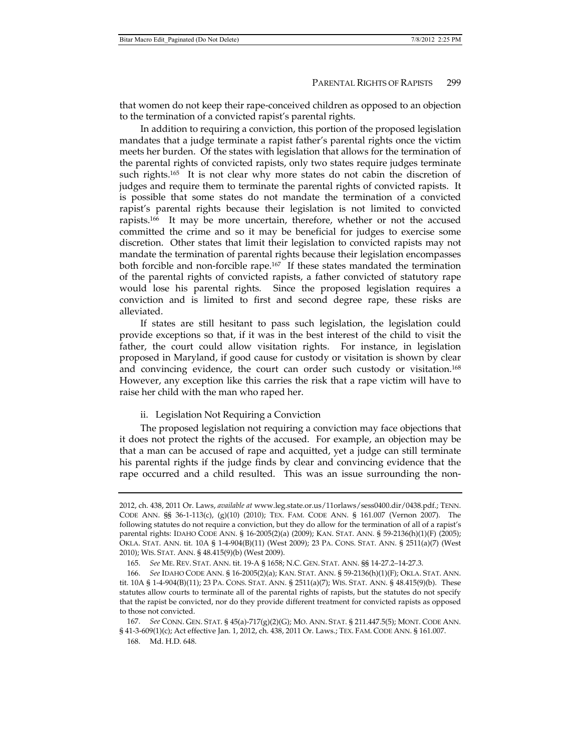that women do not keep their rape-conceived children as opposed to an objection to the termination of a convicted rapist's parental rights.

In addition to requiring a conviction, this portion of the proposed legislation mandates that a judge terminate a rapist father's parental rights once the victim meets her burden. Of the states with legislation that allows for the termination of the parental rights of convicted rapists, only two states require judges terminate such rights.165 It is not clear why more states do not cabin the discretion of judges and require them to terminate the parental rights of convicted rapists. It is possible that some states do not mandate the termination of a convicted rapist's parental rights because their legislation is not limited to convicted rapists.<sup>166</sup> It may be more uncertain, therefore, whether or not the accused committed the crime and so it may be beneficial for judges to exercise some discretion. Other states that limit their legislation to convicted rapists may not mandate the termination of parental rights because their legislation encompasses both forcible and non-forcible rape.167 If these states mandated the termination of the parental rights of convicted rapists, a father convicted of statutory rape would lose his parental rights. Since the proposed legislation requires a conviction and is limited to first and second degree rape, these risks are alleviated.

If states are still hesitant to pass such legislation, the legislation could provide exceptions so that, if it was in the best interest of the child to visit the father, the court could allow visitation rights. For instance, in legislation proposed in Maryland, if good cause for custody or visitation is shown by clear and convincing evidence, the court can order such custody or visitation.168 However, any exception like this carries the risk that a rape victim will have to raise her child with the man who raped her.

## ii. Legislation Not Requiring a Conviction

The proposed legislation not requiring a conviction may face objections that it does not protect the rights of the accused. For example, an objection may be that a man can be accused of rape and acquitted, yet a judge can still terminate his parental rights if the judge finds by clear and convincing evidence that the rape occurred and a child resulted. This was an issue surrounding the non-

<sup>2012,</sup> ch. 438, 2011 Or. Laws, *available at* www.leg.state.or.us/11orlaws/sess0400.dir/0438.pdf.; TENN. CODE ANN. §§ 36-1-113(c), (g)(10) (2010); TEX. FAM. CODE ANN. § 161.007 (Vernon 2007). The following statutes do not require a conviction, but they do allow for the termination of all of a rapist's parental rights: IDAHO CODE ANN. § 16-2005(2)(a) (2009); KAN. STAT. ANN. § 59-2136(h)(1)(F) (2005); OKLA. STAT. ANN. tit. 10A § 1-4-904(B)(11) (West 2009); 23 PA. CONS. STAT. ANN. § 2511(a)(7) (West 2010); WIS. STAT. ANN. § 48.415(9)(b) (West 2009).

 <sup>165.</sup> *See* ME. REV. STAT. ANN. tit. 19-A § 1658; N.C. GEN. STAT. ANN. §§ 14-27.2–14-27.3.

 <sup>166.</sup> *See* IDAHO CODE ANN. § 16-2005(2)(a); KAN. STAT. ANN. § 59-2136(h)(1)(F); OKLA. STAT. ANN. tit. 10A § 1-4-904(B)(11); 23 PA. CONS. STAT. ANN. § 2511(a)(7); WIS. STAT. ANN. § 48.415(9)(b). These statutes allow courts to terminate all of the parental rights of rapists, but the statutes do not specify that the rapist be convicted, nor do they provide different treatment for convicted rapists as opposed to those not convicted.

 <sup>167.</sup> *See* CONN. GEN. STAT. § 45(a)-717(g)(2)(G); MO. ANN. STAT. § 211.447.5(5); MONT. CODE ANN. § 41-3-609(1)(c); Act effective Jan. 1, 2012, ch. 438, 2011 Or. Laws.; TEX. FAM. CODE ANN. § 161.007.

 <sup>168.</sup> Md. H.D. 648.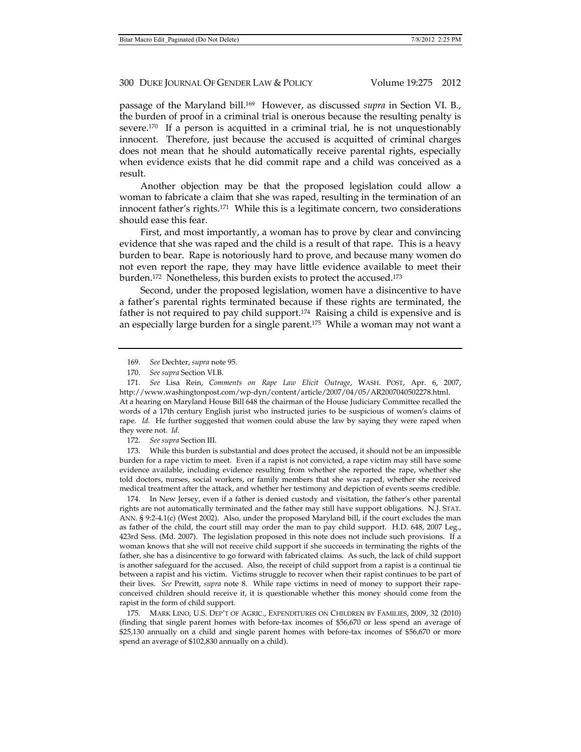passage of the Maryland bill.169 However, as discussed *supra* in Section VI. B., the burden of proof in a criminal trial is onerous because the resulting penalty is severe.<sup>170</sup> If a person is acquitted in a criminal trial, he is not unquestionably innocent. Therefore, just because the accused is acquitted of criminal charges does not mean that he should automatically receive parental rights, especially when evidence exists that he did commit rape and a child was conceived as a result.

Another objection may be that the proposed legislation could allow a woman to fabricate a claim that she was raped, resulting in the termination of an innocent father's rights.171 While this is a legitimate concern, two considerations should ease this fear.

First, and most importantly, a woman has to prove by clear and convincing evidence that she was raped and the child is a result of that rape. This is a heavy burden to bear. Rape is notoriously hard to prove, and because many women do not even report the rape, they may have little evidence available to meet their burden.172 Nonetheless, this burden exists to protect the accused.173

Second, under the proposed legislation, women have a disincentive to have a father's parental rights terminated because if these rights are terminated, the father is not required to pay child support.174 Raising a child is expensive and is an especially large burden for a single parent.175 While a woman may not want a

172. *See supra* Section III.

 173. While this burden is substantial and does protect the accused, it should not be an impossible burden for a rape victim to meet. Even if a rapist is not convicted, a rape victim may still have some evidence available, including evidence resulting from whether she reported the rape, whether she told doctors, nurses, social workers, or family members that she was raped, whether she received medical treatment after the attack, and whether her testimony and depiction of events seems credible.

 174. In New Jersey, even if a father is denied custody and visitation, the father's other parental rights are not automatically terminated and the father may still have support obligations. N.J. STAT. ANN. § 9:2-4.1(c) (West 2002). Also, under the proposed Maryland bill, if the court excludes the man as father of the child, the court still may order the man to pay child support. H.D. 648, 2007 Leg., 423rd Sess. (Md. 2007). The legislation proposed in this note does not include such provisions. If a woman knows that she will not receive child support if she succeeds in terminating the rights of the father, she has a disincentive to go forward with fabricated claims. As such, the lack of child support is another safeguard for the accused. Also, the receipt of child support from a rapist is a continual tie between a rapist and his victim. Victims struggle to recover when their rapist continues to be part of their lives. *See* Prewitt, *supra* note 8. While rape victims in need of money to support their rapeconceived children should receive it, it is questionable whether this money should come from the rapist in the form of child support.

 175. MARK LINO, U.S. DEP'T OF AGRIC., EXPENDITURES ON CHILDREN BY FAMILIES, 2009, 32 (2010) (finding that single parent homes with before-tax incomes of \$56,670 or less spend an average of \$25,130 annually on a child and single parent homes with before-tax incomes of \$56,670 or more spend an average of \$102,830 annually on a child).

 <sup>169.</sup> *See* Dechter, *supra* note 95.

 <sup>170.</sup> *See supra* Section VI.B.

 <sup>171.</sup> *See* Lisa Rein, *Comments on Rape Law Elicit Outrage*, WASH. POST, Apr. 6, 2007, http://www.washingtonpost.com/wp-dyn/content/article/2007/04/05/AR2007040502278.html. At a hearing on Maryland House Bill 648 the chairman of the House Judiciary Committee recalled the words of a 17th century English jurist who instructed juries to be suspicious of women's claims of rape. *Id.* He further suggested that women could abuse the law by saying they were raped when they were not. *Id.*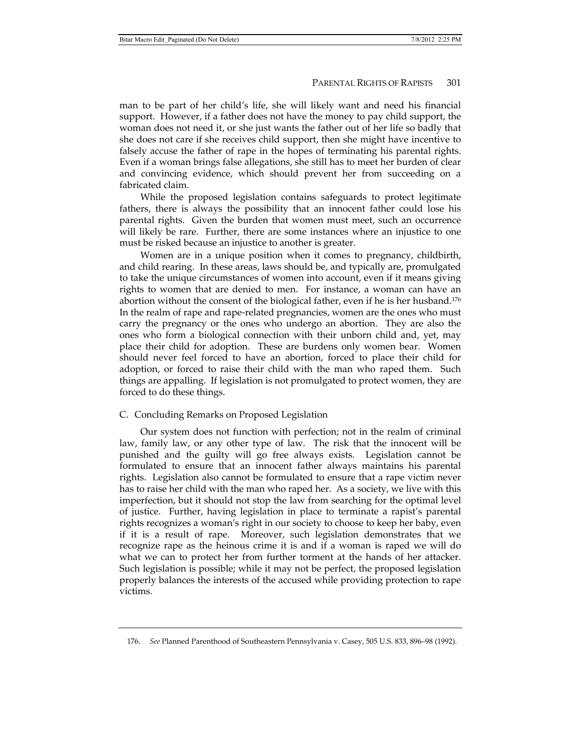man to be part of her child's life, she will likely want and need his financial support. However, if a father does not have the money to pay child support, the woman does not need it, or she just wants the father out of her life so badly that she does not care if she receives child support, then she might have incentive to falsely accuse the father of rape in the hopes of terminating his parental rights. Even if a woman brings false allegations, she still has to meet her burden of clear and convincing evidence, which should prevent her from succeeding on a fabricated claim.

While the proposed legislation contains safeguards to protect legitimate fathers, there is always the possibility that an innocent father could lose his parental rights. Given the burden that women must meet, such an occurrence will likely be rare. Further, there are some instances where an injustice to one must be risked because an injustice to another is greater.

Women are in a unique position when it comes to pregnancy, childbirth, and child rearing. In these areas, laws should be, and typically are, promulgated to take the unique circumstances of women into account, even if it means giving rights to women that are denied to men. For instance, a woman can have an abortion without the consent of the biological father, even if he is her husband.<sup>176</sup> In the realm of rape and rape-related pregnancies, women are the ones who must carry the pregnancy or the ones who undergo an abortion. They are also the ones who form a biological connection with their unborn child and, yet, may place their child for adoption. These are burdens only women bear. Women should never feel forced to have an abortion, forced to place their child for adoption, or forced to raise their child with the man who raped them. Such things are appalling. If legislation is not promulgated to protect women, they are forced to do these things.

# C. Concluding Remarks on Proposed Legislation

Our system does not function with perfection; not in the realm of criminal law, family law, or any other type of law. The risk that the innocent will be punished and the guilty will go free always exists. Legislation cannot be formulated to ensure that an innocent father always maintains his parental rights. Legislation also cannot be formulated to ensure that a rape victim never has to raise her child with the man who raped her. As a society, we live with this imperfection, but it should not stop the law from searching for the optimal level of justice. Further, having legislation in place to terminate a rapist's parental rights recognizes a woman's right in our society to choose to keep her baby, even if it is a result of rape. Moreover, such legislation demonstrates that we recognize rape as the heinous crime it is and if a woman is raped we will do what we can to protect her from further torment at the hands of her attacker. Such legislation is possible; while it may not be perfect, the proposed legislation properly balances the interests of the accused while providing protection to rape victims.

 <sup>176.</sup> *See* Planned Parenthood of Southeastern Pennsylvania v. Casey, 505 U.S. 833, 896–98 (1992).